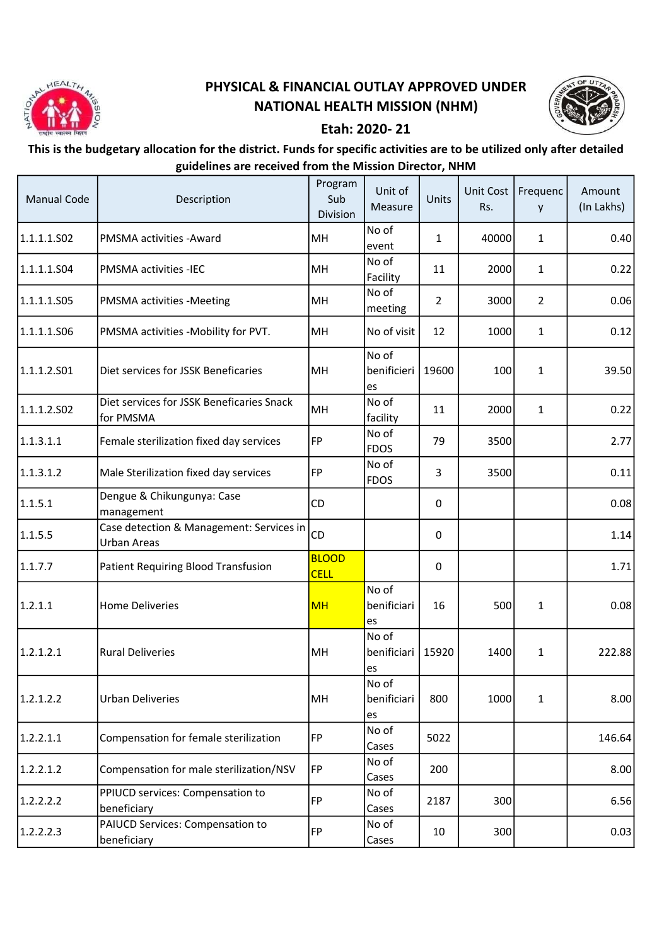

## PHYSICAL & FINANCIAL OUTLAY APPROVED UNDER NATIONAL HEALTH MISSION (NHM)



## Etah: 2020- 21

## This is the budgetary allocation for the district. Funds for specific activities are to be utilized only after detailed guidelines are received from the Mission Director, NHM

| <b>Manual Code</b> | Description                                                    | Program<br>Sub<br>Division  | Unit of<br>Measure         | Units          | Unit Cost<br>Rs. | Frequenc<br>y  | Amount<br>(In Lakhs) |
|--------------------|----------------------------------------------------------------|-----------------------------|----------------------------|----------------|------------------|----------------|----------------------|
| 1.1.1.1.502        | PMSMA activities - Award                                       | MH                          | No of<br>event             | 1              | 40000            | 1              | 0.40                 |
| 1.1.1.1.504        | <b>PMSMA activities -IEC</b>                                   | MH                          | No of<br>Facility          | 11             | 2000             | $\mathbf{1}$   | 0.22                 |
| 1.1.1.1.S05        | PMSMA activities -Meeting                                      | MH                          | No of<br>meeting           | $\overline{2}$ | 3000             | $\overline{2}$ | 0.06                 |
| 1.1.1.1.506        | PMSMA activities -Mobility for PVT.                            | MH                          | No of visit                | 12             | 1000             | 1              | 0.12                 |
| 1.1.1.2.501        | Diet services for JSSK Beneficaries                            | MH                          | No of<br>benificieri<br>es | 19600          | 100              | 1              | 39.50                |
| 1.1.1.2.502        | Diet services for JSSK Beneficaries Snack<br>for PMSMA         | MH                          | No of<br>facility          | 11             | 2000             | $\mathbf{1}$   | 0.22                 |
| 1.1.3.1.1          | Female sterilization fixed day services                        | FP                          | No of<br><b>FDOS</b>       | 79             | 3500             |                | 2.77                 |
| 1.1.3.1.2          | Male Sterilization fixed day services                          | FP                          | No of<br><b>FDOS</b>       | 3              | 3500             |                | 0.11                 |
| 1.1.5.1            | Dengue & Chikungunya: Case<br>management                       | CD                          |                            | 0              |                  |                | 0.08                 |
| 1.1.5.5            | Case detection & Management: Services in<br><b>Urban Areas</b> | CD                          |                            | 0              |                  |                | 1.14                 |
| 1.1.7.7            | Patient Requiring Blood Transfusion                            | <b>BLOOD</b><br><b>CELL</b> |                            | $\mathbf{0}$   |                  |                | 1.71                 |
| 1.2.1.1            | <b>Home Deliveries</b>                                         | <b>MH</b>                   | No of<br>benificiari<br>es | 16             | 500              | $\mathbf{1}$   | 0.08                 |
| 1.2.1.2.1          | <b>Rural Deliveries</b>                                        | MH                          | No of<br>benificiari<br>es | 15920          | 1400             | 1              | 222.88               |
| 1.2.1.2.2          | <b>Urban Deliveries</b>                                        | MH                          | No of<br>benificiari<br>es | 800            | 1000             | 1              | 8.00                 |
| 1.2.2.1.1          | Compensation for female sterilization                          | FP                          | No of<br>Cases             | 5022           |                  |                | 146.64               |
| 1.2.2.1.2          | Compensation for male sterilization/NSV                        | FP                          | No of<br>Cases             | 200            |                  |                | 8.00                 |
| 1.2.2.2.2          | PPIUCD services: Compensation to<br>beneficiary                | FP                          | No of<br>Cases             | 2187           | 300              |                | 6.56                 |
| 1.2.2.2.3          | PAIUCD Services: Compensation to<br>beneficiary                | FP                          | No of<br>Cases             | 10             | 300              |                | 0.03                 |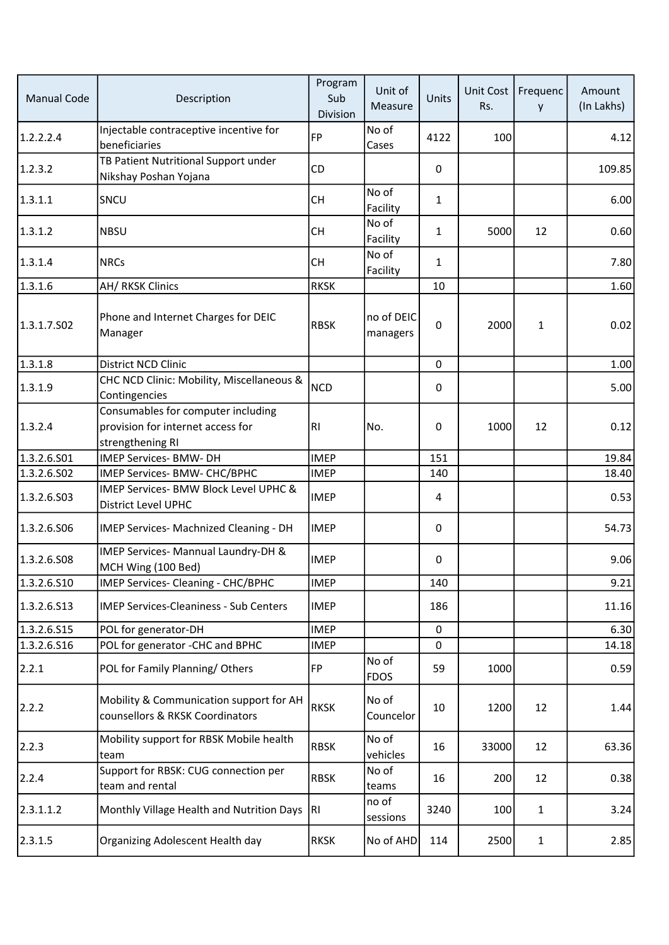| <b>Manual Code</b> | Description                                                                                 | Program<br>Sub<br>Division | Unit of<br>Measure     | Units          | Unit Cost<br>Rs. | Frequenc<br>y | Amount<br>(In Lakhs) |
|--------------------|---------------------------------------------------------------------------------------------|----------------------------|------------------------|----------------|------------------|---------------|----------------------|
| 1.2.2.2.4          | Injectable contraceptive incentive for<br>beneficiaries                                     | <b>FP</b>                  | No of<br>Cases         | 4122           | 100              |               | 4.12                 |
| 1.2.3.2            | TB Patient Nutritional Support under<br>Nikshay Poshan Yojana                               | CD                         |                        | 0              |                  |               | 109.85               |
| 1.3.1.1            | SNCU                                                                                        | <b>CH</b>                  | No of<br>Facility      | $\mathbf{1}$   |                  |               | 6.00                 |
| 1.3.1.2            | <b>NBSU</b>                                                                                 | <b>CH</b>                  | No of<br>Facility      | $\mathbf{1}$   | 5000             | 12            | 0.60                 |
| 1.3.1.4            | <b>NRCs</b>                                                                                 | <b>CH</b>                  | No of<br>Facility      | $\mathbf{1}$   |                  |               | 7.80                 |
| 1.3.1.6            | AH/ RKSK Clinics                                                                            | <b>RKSK</b>                |                        | 10             |                  |               | 1.60                 |
| 1.3.1.7.S02        | Phone and Internet Charges for DEIC<br>Manager                                              | <b>RBSK</b>                | no of DEIC<br>managers | 0              | 2000             | $\mathbf{1}$  | 0.02                 |
| 1.3.1.8            | District NCD Clinic                                                                         |                            |                        | $\mathbf 0$    |                  |               | 1.00                 |
| 1.3.1.9            | CHC NCD Clinic: Mobility, Miscellaneous &<br>Contingencies                                  | <b>NCD</b>                 |                        | $\mathbf{0}$   |                  |               | 5.00                 |
| 1.3.2.4            | Consumables for computer including<br>provision for internet access for<br>strengthening RI | RI                         | No.                    | 0              | 1000             | 12            | 0.12                 |
| 1.3.2.6.S01        | IMEP Services- BMW- DH                                                                      | <b>IMEP</b>                |                        | 151            |                  |               | 19.84                |
| 1.3.2.6.502        | IMEP Services- BMW- CHC/BPHC                                                                | <b>IMEP</b>                |                        | 140            |                  |               | 18.40                |
| 1.3.2.6.503        | IMEP Services- BMW Block Level UPHC &<br>District Level UPHC                                | <b>IMEP</b>                |                        | $\overline{4}$ |                  |               | 0.53                 |
| 1.3.2.6.506        | IMEP Services- Machnized Cleaning - DH                                                      | <b>IMEP</b>                |                        | 0              |                  |               | 54.73                |
| 1.3.2.6.508        | IMEP Services- Mannual Laundry-DH &<br>MCH Wing (100 Bed)                                   | <b>IMEP</b>                |                        | 0              |                  |               | 9.06                 |
| 1.3.2.6.510        | IMEP Services- Cleaning - CHC/BPHC                                                          | <b>IMEP</b>                |                        | 140            |                  |               | 9.21                 |
| 1.3.2.6.513        | <b>IMEP Services-Cleaniness - Sub Centers</b>                                               | <b>IMEP</b>                |                        | 186            |                  |               | 11.16                |
| 1.3.2.6.S15        | POL for generator-DH                                                                        | <b>IMEP</b>                |                        | 0              |                  |               | 6.30                 |
| 1.3.2.6.516        | POL for generator -CHC and BPHC                                                             | <b>IMEP</b>                |                        | 0              |                  |               | 14.18                |
| 2.2.1              | POL for Family Planning/Others                                                              | FP                         | No of<br><b>FDOS</b>   | 59             | 1000             |               | 0.59                 |
| 2.2.2              | Mobility & Communication support for AH<br>counsellors & RKSK Coordinators                  | <b>RKSK</b>                | No of<br>Councelor     | 10             | 1200             | 12            | 1.44                 |
| 2.2.3              | Mobility support for RBSK Mobile health<br>team                                             | <b>RBSK</b>                | No of<br>vehicles      | 16             | 33000            | 12            | 63.36                |
| 2.2.4              | Support for RBSK: CUG connection per<br>team and rental                                     | <b>RBSK</b>                | No of<br>teams         | 16             | 200              | 12            | 0.38                 |
| 2.3.1.1.2          | Monthly Village Health and Nutrition Days                                                   | RI                         | no of<br>sessions      | 3240           | 100              | $\mathbf{1}$  | 3.24                 |
| 2.3.1.5            | <b>Organizing Adolescent Health day</b>                                                     | <b>RKSK</b>                | No of AHD              | 114            | 2500             | 1             | 2.85                 |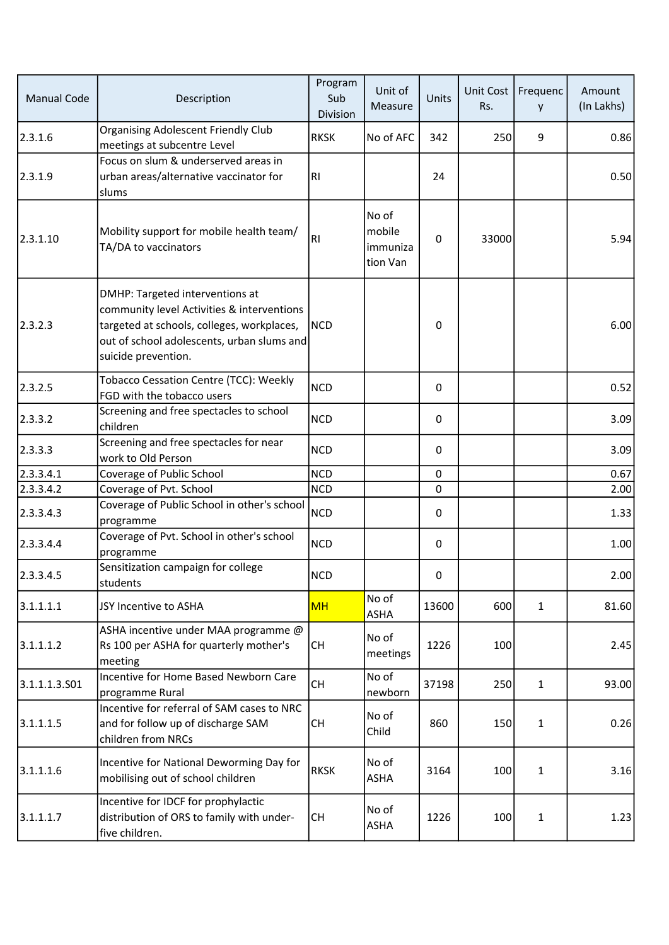| <b>Manual Code</b> | Description                                                                                                                                                                                      | Program<br>Sub<br>Division | Unit of<br>Measure                      | Units        | Unit Cost<br>Rs. | Frequenc<br>y | Amount<br>(In Lakhs) |
|--------------------|--------------------------------------------------------------------------------------------------------------------------------------------------------------------------------------------------|----------------------------|-----------------------------------------|--------------|------------------|---------------|----------------------|
| 2.3.1.6            | <b>Organising Adolescent Friendly Club</b><br>meetings at subcentre Level                                                                                                                        | <b>RKSK</b>                | No of AFC                               | 342          | 250              | 9             | 0.86                 |
| 2.3.1.9            | Focus on slum & underserved areas in<br>urban areas/alternative vaccinator for<br>slums                                                                                                          | RI                         |                                         | 24           |                  |               | 0.50                 |
| 2.3.1.10           | Mobility support for mobile health team/<br>TA/DA to vaccinators                                                                                                                                 | RI                         | No of<br>mobile<br>immuniza<br>tion Van | $\mathbf{0}$ | 33000            |               | 5.94                 |
| 2.3.2.3            | DMHP: Targeted interventions at<br>community level Activities & interventions<br>targeted at schools, colleges, workplaces,<br>out of school adolescents, urban slums and<br>suicide prevention. | <b>NCD</b>                 |                                         | 0            |                  |               | 6.00                 |
| 2.3.2.5            | Tobacco Cessation Centre (TCC): Weekly<br>FGD with the tobacco users                                                                                                                             | <b>NCD</b>                 |                                         | $\mathbf{0}$ |                  |               | 0.52                 |
| 2.3.3.2            | Screening and free spectacles to school<br>children                                                                                                                                              | <b>NCD</b>                 |                                         | $\mathbf{0}$ |                  |               | 3.09                 |
| 2.3.3.3            | Screening and free spectacles for near<br>work to Old Person                                                                                                                                     | <b>NCD</b>                 |                                         | 0            |                  |               | 3.09                 |
| 2.3.3.4.1          | Coverage of Public School                                                                                                                                                                        | <b>NCD</b>                 |                                         | $\Omega$     |                  |               | 0.67                 |
| 2.3.3.4.2          | Coverage of Pvt. School                                                                                                                                                                          | <b>NCD</b>                 |                                         | 0            |                  |               | 2.00                 |
| 2.3.3.4.3          | Coverage of Public School in other's school<br>programme                                                                                                                                         | <b>NCD</b>                 |                                         | 0            |                  |               | 1.33                 |
| 2.3.3.4.4          | Coverage of Pvt. School in other's school<br>programme                                                                                                                                           | <b>NCD</b>                 |                                         | $\mathbf 0$  |                  |               | 1.00                 |
| 2.3.3.4.5          | Sensitization campaign for college<br>students                                                                                                                                                   | <b>NCD</b>                 |                                         | 0            |                  |               | 2.00                 |
| 3.1.1.1.1          | JSY Incentive to ASHA                                                                                                                                                                            | <b>MH</b>                  | No of<br><b>ASHA</b>                    | 13600        | 600              | $\mathbf{1}$  | 81.60                |
| 3.1.1.1.2          | ASHA incentive under MAA programme @<br>Rs 100 per ASHA for quarterly mother's<br>meeting                                                                                                        | <b>CH</b>                  | No of<br>meetings                       | 1226         | 100              |               | 2.45                 |
| 3.1.1.1.3.501      | Incentive for Home Based Newborn Care<br>programme Rural                                                                                                                                         | CH                         | No of<br>newborn                        | 37198        | 250              | $\mathbf{1}$  | 93.00                |
| 3.1.1.1.5          | Incentive for referral of SAM cases to NRC<br>and for follow up of discharge SAM<br>children from NRCs                                                                                           | <b>CH</b>                  | No of<br>Child                          | 860          | 150              | $\mathbf{1}$  | 0.26                 |
| 3.1.1.1.6          | Incentive for National Deworming Day for<br>mobilising out of school children                                                                                                                    | <b>RKSK</b>                | No of<br><b>ASHA</b>                    | 3164         | 100              | $\mathbf{1}$  | 3.16                 |
| 3.1.1.1.7          | Incentive for IDCF for prophylactic<br>distribution of ORS to family with under-<br>five children.                                                                                               | <b>CH</b>                  | No of<br><b>ASHA</b>                    | 1226         | 100              | $\mathbf{1}$  | 1.23                 |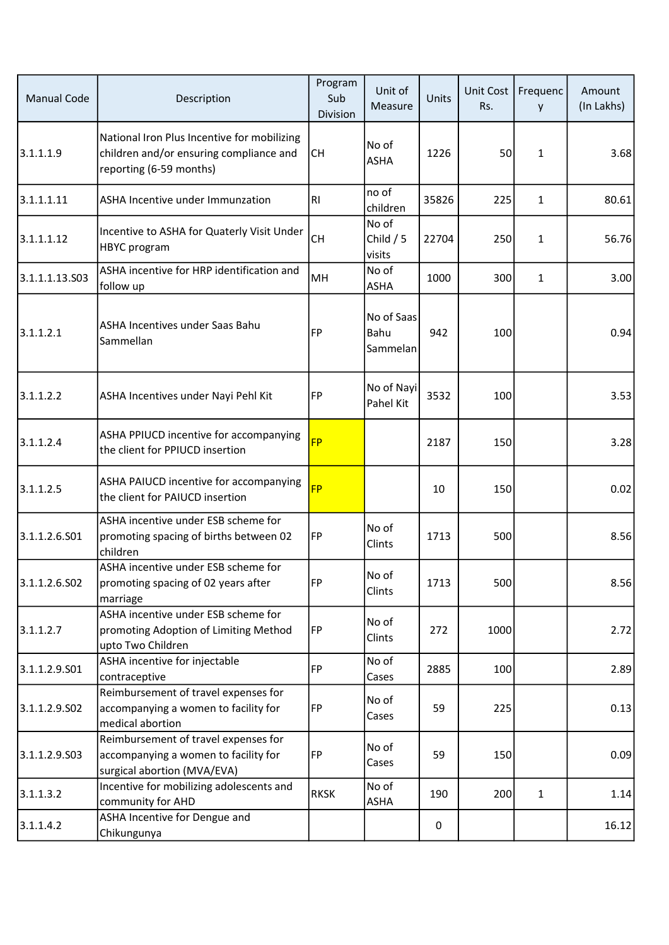| <b>Manual Code</b> | Description                                                                                                       | Program<br>Sub<br>Division | Unit of<br>Measure             | Units | Unit Cost<br>Rs. | Frequenc<br>y | Amount<br>(In Lakhs) |
|--------------------|-------------------------------------------------------------------------------------------------------------------|----------------------------|--------------------------------|-------|------------------|---------------|----------------------|
| 3.1.1.1.9          | National Iron Plus Incentive for mobilizing<br>children and/or ensuring compliance and<br>reporting (6-59 months) | <b>CH</b>                  | No of<br><b>ASHA</b>           | 1226  | 50               | $\mathbf{1}$  | 3.68                 |
| 3.1.1.1.11         | <b>ASHA Incentive under Immunzation</b>                                                                           | RI                         | no of<br>children              | 35826 | 225              | $\mathbf{1}$  | 80.61                |
| 3.1.1.1.12         | Incentive to ASHA for Quaterly Visit Under<br><b>HBYC</b> program                                                 | <b>CH</b>                  | No of<br>Child $/5$<br>visits  | 22704 | 250              | $\mathbf{1}$  | 56.76                |
| 3.1.1.1.13.S03     | ASHA incentive for HRP identification and<br>follow up                                                            | MH                         | No of<br><b>ASHA</b>           | 1000  | 300              | $\mathbf{1}$  | 3.00                 |
| 3.1.1.2.1          | ASHA Incentives under Saas Bahu<br>Sammellan                                                                      | <b>FP</b>                  | No of Saas<br>Bahu<br>Sammelan | 942   | 100              |               | 0.94                 |
| 3.1.1.2.2          | ASHA Incentives under Nayi Pehl Kit                                                                               | FP                         | No of Nayi<br>Pahel Kit        | 3532  | 100              |               | 3.53                 |
| 3.1.1.2.4          | ASHA PPIUCD incentive for accompanying<br>the client for PPIUCD insertion                                         | <b>FP</b>                  |                                | 2187  | 150              |               | 3.28                 |
| 3.1.1.2.5          | ASHA PAIUCD incentive for accompanying<br>the client for PAIUCD insertion                                         | <b>FP</b>                  |                                | 10    | 150              |               | 0.02                 |
| 3.1.1.2.6.501      | ASHA incentive under ESB scheme for<br>promoting spacing of births between 02<br>children                         | <b>FP</b>                  | No of<br>Clints                | 1713  | 500              |               | 8.56                 |
| 3.1.1.2.6.S02      | ASHA incentive under ESB scheme for<br>promoting spacing of 02 years after<br>marriage                            | FP                         | No of<br>Clints                | 1713  | 500              |               | 8.56                 |
| 3.1.1.2.7          | ASHA incentive under ESB scheme for<br>promoting Adoption of Limiting Method<br>upto Two Children                 | <b>FP</b>                  | No of<br><b>Clints</b>         | 272   | 1000             |               | 2.72                 |
| 3.1.1.2.9.S01      | ASHA incentive for injectable<br>contraceptive                                                                    | <b>FP</b>                  | No of<br>Cases                 | 2885  | 100              |               | 2.89                 |
| 3.1.1.2.9.S02      | Reimbursement of travel expenses for<br>accompanying a women to facility for<br>medical abortion                  | FP                         | No of<br>Cases                 | 59    | 225              |               | 0.13                 |
| 3.1.1.2.9.S03      | Reimbursement of travel expenses for<br>accompanying a women to facility for<br>surgical abortion (MVA/EVA)       | FP                         | No of<br>Cases                 | 59    | 150              |               | 0.09                 |
| 3.1.1.3.2          | Incentive for mobilizing adolescents and<br>community for AHD                                                     | <b>RKSK</b>                | No of<br>ASHA                  | 190   | 200              | $\mathbf{1}$  | 1.14                 |
| 3.1.1.4.2          | ASHA Incentive for Dengue and<br>Chikungunya                                                                      |                            |                                | 0     |                  |               | 16.12                |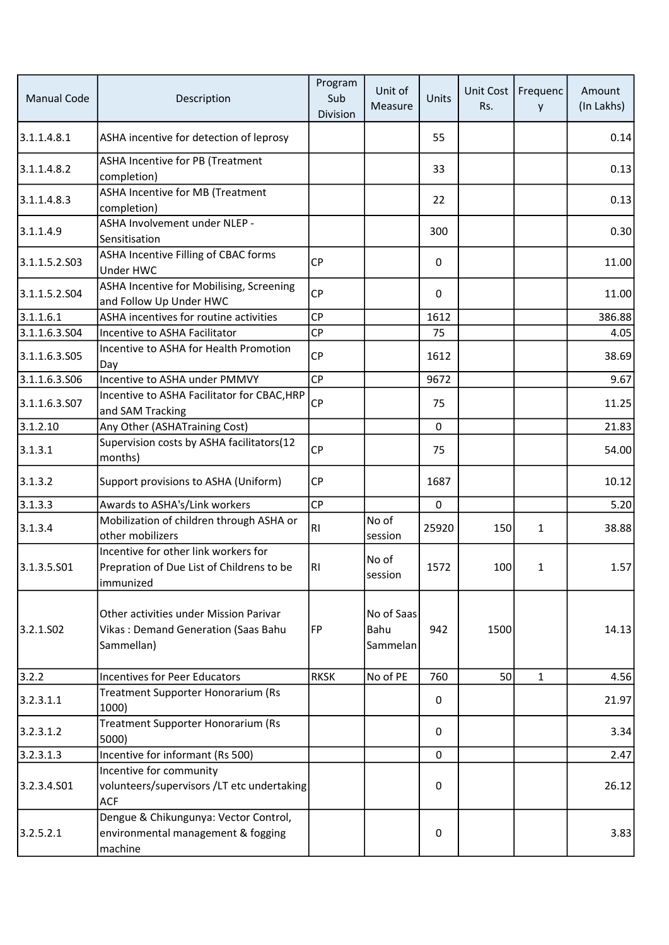| <b>Manual Code</b>    | Description                                                                                    | Program<br>Sub<br>Division | Unit of<br>Measure             | Units        | Unit Cost<br>Rs. | Frequenc<br>y | Amount<br>(In Lakhs) |
|-----------------------|------------------------------------------------------------------------------------------------|----------------------------|--------------------------------|--------------|------------------|---------------|----------------------|
| 3.1.1.4.8.1           | ASHA incentive for detection of leprosy                                                        |                            |                                | 55           |                  |               | 0.14                 |
| 3.1.1.4.8.2           | ASHA Incentive for PB (Treatment<br>completion)                                                |                            |                                | 33           |                  |               | 0.13                 |
| 3.1.1.4.8.3           | ASHA Incentive for MB (Treatment<br>completion)                                                |                            |                                | 22           |                  |               | 0.13                 |
| 3.1.1.4.9             | ASHA Involvement under NLEP -<br>Sensitisation                                                 |                            |                                | 300          |                  |               | 0.30                 |
| 3.1.1.5.2.S03         | ASHA Incentive Filling of CBAC forms<br>Under HWC                                              | CP                         |                                | 0            |                  |               | 11.00                |
| 3.1.1.5.2.504         | ASHA Incentive for Mobilising, Screening<br>and Follow Up Under HWC                            | <b>CP</b>                  |                                | $\Omega$     |                  |               | 11.00                |
| 3.1.1.6.1             | ASHA incentives for routine activities                                                         | <b>CP</b>                  |                                | 1612         |                  |               | 386.88               |
| 3.1.1.6.3.S04         | Incentive to ASHA Facilitator                                                                  | <b>CP</b>                  |                                | 75           |                  |               | 4.05                 |
| 3.1.1.6.3.505         | Incentive to ASHA for Health Promotion<br>Day                                                  | <b>CP</b>                  |                                | 1612         |                  |               | 38.69                |
| 3.1.1.6.3.506         | Incentive to ASHA under PMMVY                                                                  | CP                         |                                | 9672         |                  |               | 9.67                 |
| 3.1.1.6.3.S07         | Incentive to ASHA Facilitator for CBAC, HRP<br>and SAM Tracking                                | <b>CP</b>                  |                                | 75           |                  |               | 11.25                |
| 3.1.2.10              | Any Other (ASHATraining Cost)                                                                  |                            |                                | $\mathbf 0$  |                  |               | 21.83                |
| 3.1.3.1               | Supervision costs by ASHA facilitators(12<br>months)                                           | <b>CP</b>                  |                                | 75           |                  |               | 54.00                |
| 3.1.3.2               | Support provisions to ASHA (Uniform)                                                           | CP                         |                                | 1687         |                  |               | 10.12                |
| 3.1.3.3               | Awards to ASHA's/Link workers                                                                  | CP                         |                                | $\mathbf 0$  |                  |               | 5.20                 |
| 3.1.3.4               | Mobilization of children through ASHA or<br>other mobilizers                                   | RI.                        | No of<br>session               | 25920        | 150              | $\mathbf{1}$  | 38.88                |
| 3.1.3.5.501           | Incentive for other link workers for<br>Prepration of Due List of Childrens to be<br>immunized | R1                         | No of<br>session               | 1572         | 100              | $\mathbf{1}$  | 1.57                 |
| 3.2.1.SO <sub>2</sub> | Other activities under Mission Parivar<br>Vikas: Demand Generation (Saas Bahu<br>Sammellan)    | <b>FP</b>                  | No of Saas<br>Bahu<br>Sammelan | 942          | 1500             |               | 14.13                |
| 3.2.2                 | <b>Incentives for Peer Educators</b>                                                           | <b>RKSK</b>                | No of PE                       | 760          | 50               | $\mathbf{1}$  | 4.56                 |
| 3.2.3.1.1             | Treatment Supporter Honorarium (Rs<br>1000)                                                    |                            |                                | 0            |                  |               | 21.97                |
| 3.2.3.1.2             | Treatment Supporter Honorarium (Rs<br>5000)                                                    |                            |                                | $\mathbf{0}$ |                  |               | 3.34                 |
| 3.2.3.1.3             | Incentive for informant (Rs 500)                                                               |                            |                                | 0            |                  |               | 2.47                 |
| 3.2.3.4.501           | Incentive for community<br>volunteers/supervisors /LT etc undertaking<br><b>ACF</b>            |                            |                                | 0            |                  |               | 26.12                |
| 3.2.5.2.1             | Dengue & Chikungunya: Vector Control,<br>environmental management & fogging<br>machine         |                            |                                | 0            |                  |               | 3.83                 |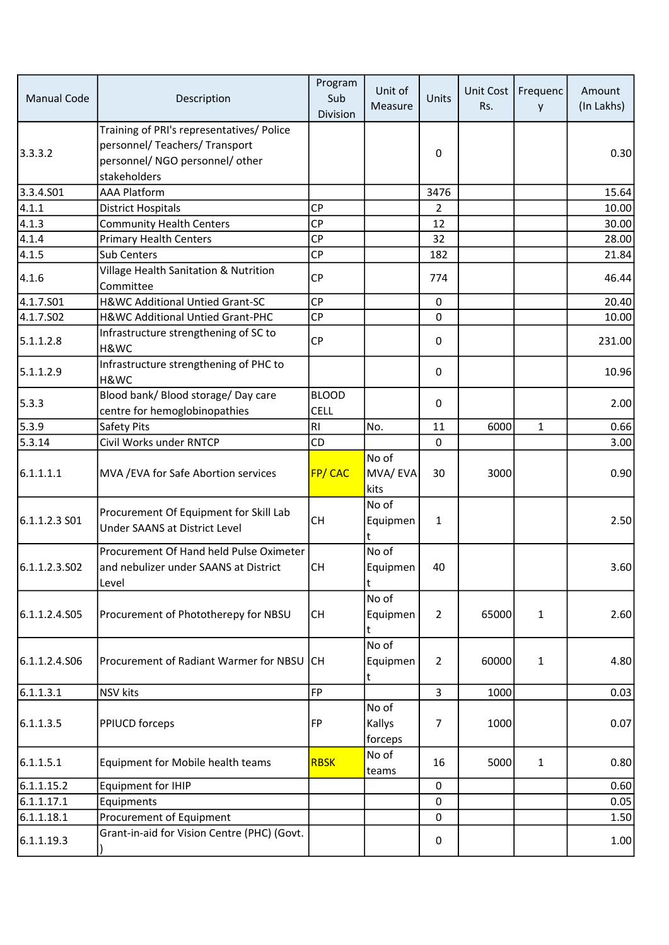| <b>Manual Code</b> | Description                                                                                                                    | Program<br>Sub<br>Division  | Unit of<br>Measure         | Units          | Unit Cost<br>Rs. | Frequenc<br>y | Amount<br>(In Lakhs) |
|--------------------|--------------------------------------------------------------------------------------------------------------------------------|-----------------------------|----------------------------|----------------|------------------|---------------|----------------------|
| 3.3.3.2            | Training of PRI's representatives/ Police<br>personnel/ Teachers/ Transport<br>personnel/ NGO personnel/ other<br>stakeholders |                             |                            | 0              |                  |               | 0.30                 |
| 3.3.4.S01          | <b>AAA Platform</b>                                                                                                            |                             |                            | 3476           |                  |               | 15.64                |
| 4.1.1              | <b>District Hospitals</b>                                                                                                      | <b>CP</b>                   |                            | 2              |                  |               | 10.00                |
| 4.1.3              | <b>Community Health Centers</b>                                                                                                | <b>CP</b>                   |                            | 12             |                  |               | 30.00                |
| 4.1.4              | <b>Primary Health Centers</b>                                                                                                  | <b>CP</b>                   |                            | 32             |                  |               | 28.00                |
| 4.1.5              | Sub Centers                                                                                                                    | <b>CP</b>                   |                            | 182            |                  |               | 21.84                |
| 4.1.6              | Village Health Sanitation & Nutrition<br>Committee                                                                             | <b>CP</b>                   |                            | 774            |                  |               | 46.44                |
| 4.1.7.S01          | H&WC Additional Untied Grant-SC                                                                                                | <b>CP</b>                   |                            | $\mathbf 0$    |                  |               | 20.40                |
| 4.1.7.S02          | H&WC Additional Untied Grant-PHC                                                                                               | <b>CP</b>                   |                            | 0              |                  |               | 10.00                |
| 5.1.1.2.8          | Infrastructure strengthening of SC to<br>H&WC                                                                                  | CP                          |                            | 0              |                  |               | 231.00               |
| 5.1.1.2.9          | Infrastructure strengthening of PHC to<br>H&WC                                                                                 |                             |                            | 0              |                  |               | 10.96                |
| 5.3.3              | Blood bank/ Blood storage/ Day care<br>centre for hemoglobinopathies                                                           | <b>BLOOD</b><br><b>CELL</b> |                            | $\Omega$       |                  |               | 2.00                 |
| 5.3.9              | Safety Pits                                                                                                                    | R <sub>l</sub>              | No.                        | 11             | 6000             | $\mathbf{1}$  | 0.66                 |
| 5.3.14             | Civil Works under RNTCP                                                                                                        | CD                          |                            | 0              |                  |               | 3.00                 |
| 6.1.1.1.1          | MVA / EVA for Safe Abortion services                                                                                           | FP/CAC                      | No of<br>MVA/EVA<br>kits   | 30             | 3000             |               | 0.90                 |
| 6.1.1.2.3 S01      | Procurement Of Equipment for Skill Lab<br>Under SAANS at District Level                                                        | <b>CH</b>                   | No of<br>Equipmen<br>t     | $\mathbf{1}$   |                  |               | 2.50                 |
| 6.1.1.2.3.S02      | Procurement Of Hand held Pulse Oximeter<br>and nebulizer under SAANS at District<br>Level                                      | <b>CH</b>                   | No of<br>Equipmen<br>t     | 40             |                  |               | 3.60                 |
| 6.1.1.2.4.505      | Procurement of Phototherepy for NBSU                                                                                           | <b>CH</b>                   | No of<br>Equipmen          | 2              | 65000            | $\mathbf{1}$  | 2.60                 |
| 6.1.1.2.4.S06      | Procurement of Radiant Warmer for NBSU                                                                                         | lсн                         | No of<br>Equipmen<br>t     | $\overline{2}$ | 60000            | $\mathbf{1}$  | 4.80                 |
| 6.1.1.3.1          | <b>NSV</b> kits                                                                                                                | <b>FP</b>                   |                            | $\overline{3}$ | 1000             |               | 0.03                 |
| 6.1.1.3.5          | PPIUCD forceps                                                                                                                 | <b>FP</b>                   | No of<br>Kallys<br>forceps | 7              | 1000             |               | 0.07                 |
| 6.1.1.5.1          | Equipment for Mobile health teams                                                                                              | <b>RBSK</b>                 | No of<br>teams             | 16             | 5000             | $\mathbf{1}$  | 0.80                 |
| 6.1.1.15.2         | <b>Equipment for IHIP</b>                                                                                                      |                             |                            | 0              |                  |               | 0.60                 |
| 6.1.1.17.1         | Equipments                                                                                                                     |                             |                            | 0              |                  |               | 0.05                 |
| 6.1.1.18.1         | Procurement of Equipment                                                                                                       |                             |                            | 0              |                  |               | 1.50                 |
| 6.1.1.19.3         | Grant-in-aid for Vision Centre (PHC) (Govt.                                                                                    |                             |                            | 0              |                  |               | 1.00                 |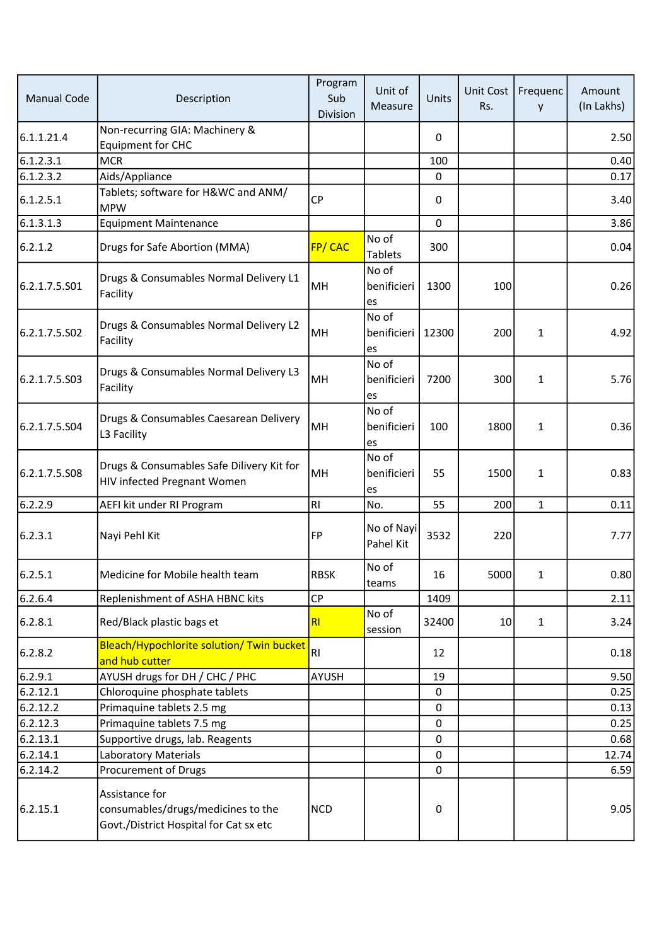| <b>Manual Code</b> | Description                                                                                    | Program<br>Sub<br>Division | Unit of<br>Measure          | Units        | <b>Unit Cost</b><br>Rs. | Frequenc<br>y | Amount<br>(In Lakhs) |
|--------------------|------------------------------------------------------------------------------------------------|----------------------------|-----------------------------|--------------|-------------------------|---------------|----------------------|
| 6.1.1.21.4         | Non-recurring GIA: Machinery &<br><b>Equipment for CHC</b>                                     |                            |                             | $\mathbf{0}$ |                         |               | 2.50                 |
| 6.1.2.3.1          | <b>MCR</b>                                                                                     |                            |                             | 100          |                         |               | 0.40                 |
| 6.1.2.3.2          | Aids/Appliance                                                                                 |                            |                             | 0            |                         |               | 0.17                 |
| 6.1.2.5.1          | Tablets; software for H&WC and ANM/<br><b>MPW</b>                                              | <b>CP</b>                  |                             | $\Omega$     |                         |               | 3.40                 |
| 6.1.3.1.3          | <b>Equipment Maintenance</b>                                                                   |                            |                             | 0            |                         |               | 3.86                 |
| 6.2.1.2            | Drugs for Safe Abortion (MMA)                                                                  | FP/CAC                     | No of<br><b>Tablets</b>     | 300          |                         |               | 0.04                 |
| 6.2.1.7.5.501      | Drugs & Consumables Normal Delivery L1<br>Facility                                             | MH                         | No of<br>benificieri<br>es  | 1300         | 100                     |               | 0.26                 |
| 6.2.1.7.5.S02      | Drugs & Consumables Normal Delivery L2<br>Facility                                             | MH                         | No of<br>benificieri<br>les | 12300        | 200                     | $\mathbf{1}$  | 4.92                 |
| 6.2.1.7.5.503      | Drugs & Consumables Normal Delivery L3<br>Facility                                             | MH                         | No of<br>benificieri<br>es  | 7200         | 300                     | $\mathbf{1}$  | 5.76                 |
| 6.2.1.7.5.504      | Drugs & Consumables Caesarean Delivery<br>L3 Facility                                          | MH                         | No of<br>benificieri<br>les | 100          | 1800                    | $\mathbf{1}$  | 0.36                 |
| 6.2.1.7.5.508      | Drugs & Consumables Safe Dilivery Kit for<br>HIV infected Pregnant Women                       | MH                         | No of<br>benificieri<br>es  | 55           | 1500                    | $\mathbf{1}$  | 0.83                 |
| 6.2.2.9            | AEFI kit under RI Program                                                                      | RI                         | No.                         | 55           | 200                     | $\mathbf{1}$  | 0.11                 |
| 6.2.3.1            | Nayi Pehl Kit                                                                                  | FP                         | No of Nayi<br>Pahel Kit     | 3532         | 220                     |               | 7.77                 |
| 6.2.5.1            | Medicine for Mobile health team                                                                | <b>RBSK</b>                | No of<br>teams              | 16           | 5000                    | 1             | 0.80                 |
| 6.2.6.4            | Replenishment of ASHA HBNC kits                                                                | <b>CP</b>                  |                             | 1409         |                         |               | 2.11                 |
| 6.2.8.1            | Red/Black plastic bags et                                                                      | RI                         | No of<br>session            | 32400        | 10                      | $\mathbf{1}$  | 3.24                 |
| 6.2.8.2            | Bleach/Hypochlorite solution/ Twin bucket<br>and hub cutter                                    | RI                         |                             | 12           |                         |               | 0.18                 |
| 6.2.9.1            | AYUSH drugs for DH / CHC / PHC                                                                 | AYUSH                      |                             | 19           |                         |               | 9.50                 |
| 6.2.12.1           | Chloroquine phosphate tablets                                                                  |                            |                             | $\Omega$     |                         |               | 0.25                 |
| 6.2.12.2           | Primaquine tablets 2.5 mg                                                                      |                            |                             | 0            |                         |               | 0.13                 |
| 6.2.12.3           | Primaquine tablets 7.5 mg                                                                      |                            |                             | 0            |                         |               | 0.25                 |
| 6.2.13.1           | Supportive drugs, lab. Reagents                                                                |                            |                             | 0            |                         |               | 0.68                 |
| 6.2.14.1           | <b>Laboratory Materials</b>                                                                    |                            |                             | 0            |                         |               | 12.74                |
| 6.2.14.2           | Procurement of Drugs                                                                           |                            |                             | 0            |                         |               | 6.59                 |
| 6.2.15.1           | Assistance for<br>consumables/drugs/medicines to the<br>Govt./District Hospital for Cat sx etc | <b>NCD</b>                 |                             | 0            |                         |               | 9.05                 |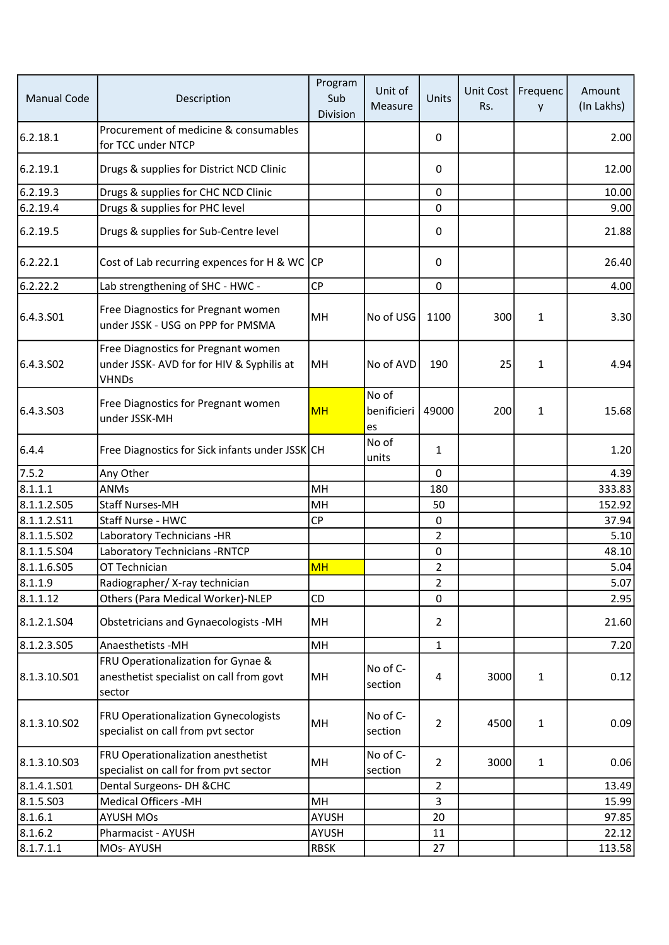| <b>Manual Code</b>    | Description                                                                                      | Program<br>Sub<br>Division | Unit of<br>Measure         | Units          | Unit Cost<br>Rs. | Frequenc<br>y | Amount<br>(In Lakhs) |
|-----------------------|--------------------------------------------------------------------------------------------------|----------------------------|----------------------------|----------------|------------------|---------------|----------------------|
| 6.2.18.1              | Procurement of medicine & consumables<br>for TCC under NTCP                                      |                            |                            | 0              |                  |               | 2.00                 |
| 6.2.19.1              | Drugs & supplies for District NCD Clinic                                                         |                            |                            | 0              |                  |               | 12.00                |
| 6.2.19.3              | Drugs & supplies for CHC NCD Clinic                                                              |                            |                            | $\mathbf 0$    |                  |               | 10.00                |
| 6.2.19.4              | Drugs & supplies for PHC level                                                                   |                            |                            | 0              |                  |               | 9.00                 |
| 6.2.19.5              | Drugs & supplies for Sub-Centre level                                                            |                            |                            | 0              |                  |               | 21.88                |
| 6.2.22.1              | Cost of Lab recurring expences for H & WC                                                        | CP                         |                            | 0              |                  |               | 26.40                |
| 6.2.22.2              | Lab strengthening of SHC - HWC -                                                                 | <b>CP</b>                  |                            | $\mathbf 0$    |                  |               | 4.00                 |
| 6.4.3.S01             | Free Diagnostics for Pregnant women<br>under JSSK - USG on PPP for PMSMA                         | MH                         | No of USG                  | 1100           | 300              | $\mathbf{1}$  | 3.30                 |
| 6.4.3.SO <sub>2</sub> | Free Diagnostics for Pregnant women<br>under JSSK- AVD for for HIV & Syphilis at<br><b>VHNDs</b> | MH                         | No of AVD                  | 190            | 25               | $\mathbf{1}$  | 4.94                 |
| 6.4.3.S03             | Free Diagnostics for Pregnant women<br>under JSSK-MH                                             | <b>MH</b>                  | No of<br>benificieri<br>es | 49000          | 200              | 1             | 15.68                |
| 6.4.4                 | Free Diagnostics for Sick infants under JSSK CH                                                  |                            | No of<br>units             | $\mathbf{1}$   |                  |               | 1.20                 |
| 7.5.2                 | Any Other                                                                                        |                            |                            | $\Omega$       |                  |               | 4.39                 |
| 8.1.1.1               | <b>ANMs</b>                                                                                      | MH                         |                            | 180            |                  |               | 333.83               |
| 8.1.1.2.505           | <b>Staff Nurses-MH</b>                                                                           | MH                         |                            | 50             |                  |               | 152.92               |
| 8.1.1.2.S11           | Staff Nurse - HWC                                                                                | <b>CP</b>                  |                            | 0              |                  |               | 37.94                |
| 8.1.1.5.502           | Laboratory Technicians -HR                                                                       |                            |                            | $\overline{2}$ |                  |               | 5.10                 |
| 8.1.1.5.504           | Laboratory Technicians - RNTCP                                                                   |                            |                            | $\mathbf 0$    |                  |               | 48.10                |
| 8.1.1.6.S05           | OT Technician                                                                                    | <b>MH</b>                  |                            | $\overline{2}$ |                  |               | 5.04                 |
| 8.1.1.9               | Radiographer/X-ray technician                                                                    |                            |                            | 2              |                  |               | 5.07                 |
| 8.1.1.12              | Others (Para Medical Worker)-NLEP                                                                | <b>CD</b>                  |                            | 0              |                  |               | 2.95                 |
| 8.1.2.1.S04           | <b>Obstetricians and Gynaecologists -MH</b>                                                      | MH                         |                            | 2              |                  |               | 21.60                |
| 8.1.2.3.505           | Anaesthetists - MH                                                                               | MH                         |                            | $\mathbf{1}$   |                  |               | 7.20                 |
| 8.1.3.10.S01          | FRU Operationalization for Gynae &<br>anesthetist specialist on call from govt<br>sector         | MH                         | No of C-<br>section        | 4              | 3000             | $\mathbf{1}$  | 0.12                 |
| 8.1.3.10.S02          | FRU Operationalization Gynecologists<br>specialist on call from pvt sector                       | MH                         | No of C-<br>section        | $\overline{2}$ | 4500             | $\mathbf{1}$  | 0.09                 |
| 8.1.3.10.503          | FRU Operationalization anesthetist<br>specialist on call for from pvt sector                     | MH                         | No of C-<br>section        | $\overline{2}$ | 3000             | $\mathbf{1}$  | 0.06                 |
| 8.1.4.1.501           | Dental Surgeons- DH & CHC                                                                        |                            |                            | $\overline{2}$ |                  |               | 13.49                |
| 8.1.5.503             | <b>Medical Officers -MH</b>                                                                      | MH                         |                            | 3              |                  |               | 15.99                |
| 8.1.6.1               | <b>AYUSH MOs</b>                                                                                 | <b>AYUSH</b>               |                            | 20             |                  |               | 97.85                |
| 8.1.6.2               | Pharmacist - AYUSH                                                                               | AYUSH                      |                            | 11             |                  |               | 22.12                |
| 8.1.7.1.1             | MOs-AYUSH                                                                                        | <b>RBSK</b>                |                            | 27             |                  |               | 113.58               |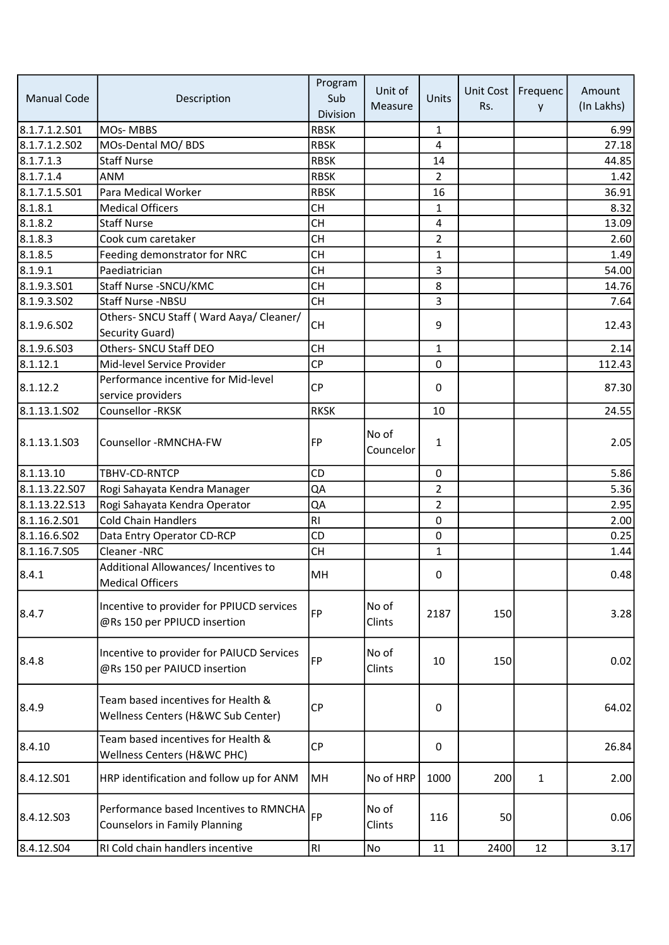| <b>Manual Code</b> | Description                                                                    | Program<br>Sub<br>Division | Unit of<br>Measure | Units          | Unit Cost<br>Rs. | Frequenc<br>y | Amount<br>(In Lakhs) |
|--------------------|--------------------------------------------------------------------------------|----------------------------|--------------------|----------------|------------------|---------------|----------------------|
| 8.1.7.1.2.S01      | <b>MOs-MBBS</b>                                                                | <b>RBSK</b>                |                    | 1              |                  |               | 6.99                 |
| 8.1.7.1.2.S02      | MOs-Dental MO/ BDS                                                             | <b>RBSK</b>                |                    | 4              |                  |               | 27.18                |
| 8.1.7.1.3          | <b>Staff Nurse</b>                                                             | <b>RBSK</b>                |                    | 14             |                  |               | 44.85                |
| 8.1.7.1.4          | <b>ANM</b>                                                                     | <b>RBSK</b>                |                    | $\overline{2}$ |                  |               | 1.42                 |
| 8.1.7.1.5.501      | Para Medical Worker                                                            | <b>RBSK</b>                |                    | 16             |                  |               | 36.91                |
| 8.1.8.1            | <b>Medical Officers</b>                                                        | <b>CH</b>                  |                    | $\mathbf{1}$   |                  |               | 8.32                 |
| 8.1.8.2            | <b>Staff Nurse</b>                                                             | <b>CH</b>                  |                    | 4              |                  |               | 13.09                |
| 8.1.8.3            | Cook cum caretaker                                                             | <b>CH</b>                  |                    | $\overline{2}$ |                  |               | 2.60                 |
| 8.1.8.5            | Feeding demonstrator for NRC                                                   | <b>CH</b>                  |                    | 1              |                  |               | 1.49                 |
| 8.1.9.1            | Paediatrician                                                                  | <b>CH</b>                  |                    | 3              |                  |               | 54.00                |
| 8.1.9.3.S01        | Staff Nurse - SNCU/KMC                                                         | <b>CH</b>                  |                    | 8              |                  |               | 14.76                |
| 8.1.9.3.502        | Staff Nurse -NBSU                                                              | <b>CH</b>                  |                    | 3              |                  |               | 7.64                 |
|                    | Others- SNCU Staff (Ward Aaya/ Cleaner/                                        |                            |                    |                |                  |               |                      |
| 8.1.9.6.502        | Security Guard)                                                                | <b>CH</b>                  |                    | 9              |                  |               | 12.43                |
| 8.1.9.6.503        | Others- SNCU Staff DEO                                                         | <b>CH</b>                  |                    | $\mathbf{1}$   |                  |               | 2.14                 |
| 8.1.12.1           | Mid-level Service Provider                                                     | <b>CP</b>                  |                    | 0              |                  |               | 112.43               |
| 8.1.12.2           | Performance incentive for Mid-level                                            | <b>CP</b>                  |                    | 0              |                  |               | 87.30                |
|                    | service providers                                                              |                            |                    |                |                  |               |                      |
| 8.1.13.1.502       | Counsellor - RKSK                                                              | <b>RKSK</b>                |                    | 10             |                  |               | 24.55                |
| 8.1.13.1.S03       | Counsellor -RMNCHA-FW                                                          | <b>FP</b>                  | No of<br>Councelor | 1              |                  |               | 2.05                 |
| 8.1.13.10          | TBHV-CD-RNTCP                                                                  | CD                         |                    | 0              |                  |               | 5.86                 |
| 8.1.13.22.S07      | Rogi Sahayata Kendra Manager                                                   | QA                         |                    | $\overline{2}$ |                  |               | 5.36                 |
| 8.1.13.22.S13      | Rogi Sahayata Kendra Operator                                                  | QA                         |                    | $\overline{2}$ |                  |               | 2.95                 |
| 8.1.16.2.S01       | <b>Cold Chain Handlers</b>                                                     | RI                         |                    | 0              |                  |               | 2.00                 |
| 8.1.16.6.S02       | Data Entry Operator CD-RCP                                                     | CD                         |                    | $\mathbf 0$    |                  |               | 0.25                 |
| 8.1.16.7.S05       | Cleaner-NRC                                                                    | <b>CH</b>                  |                    | $\mathbf{1}$   |                  |               | 1.44                 |
| 8.4.1              | Additional Allowances/ Incentives to<br><b>Medical Officers</b>                | MH                         |                    | 0              |                  |               | 0.48                 |
| 8.4.7              | Incentive to provider for PPIUCD services<br>@Rs 150 per PPIUCD insertion      | FP                         | No of<br>Clints    | 2187           | 150              |               | 3.28                 |
| 8.4.8              | Incentive to provider for PAIUCD Services<br>@Rs 150 per PAIUCD insertion      | <b>FP</b>                  | No of<br>Clints    | 10             | 150              |               | 0.02                 |
| 8.4.9              | Team based incentives for Health &<br>Wellness Centers (H&WC Sub Center)       | <b>CP</b>                  |                    | 0              |                  |               | 64.02                |
| 8.4.10             | Team based incentives for Health &<br>Wellness Centers (H&WC PHC)              | <b>CP</b>                  |                    | 0              |                  |               | 26.84                |
| 8.4.12.S01         | HRP identification and follow up for ANM                                       | MH                         | No of HRP          | 1000           | 200              | $\mathbf{1}$  | 2.00                 |
| 8.4.12.S03         | Performance based Incentives to RMNCHA<br><b>Counselors in Family Planning</b> | <b>FP</b>                  | No of<br>Clints    | 116            | 50               |               | 0.06                 |
| 8.4.12.S04         | RI Cold chain handlers incentive                                               | RI                         | No                 | 11             | 2400             | 12            | 3.17                 |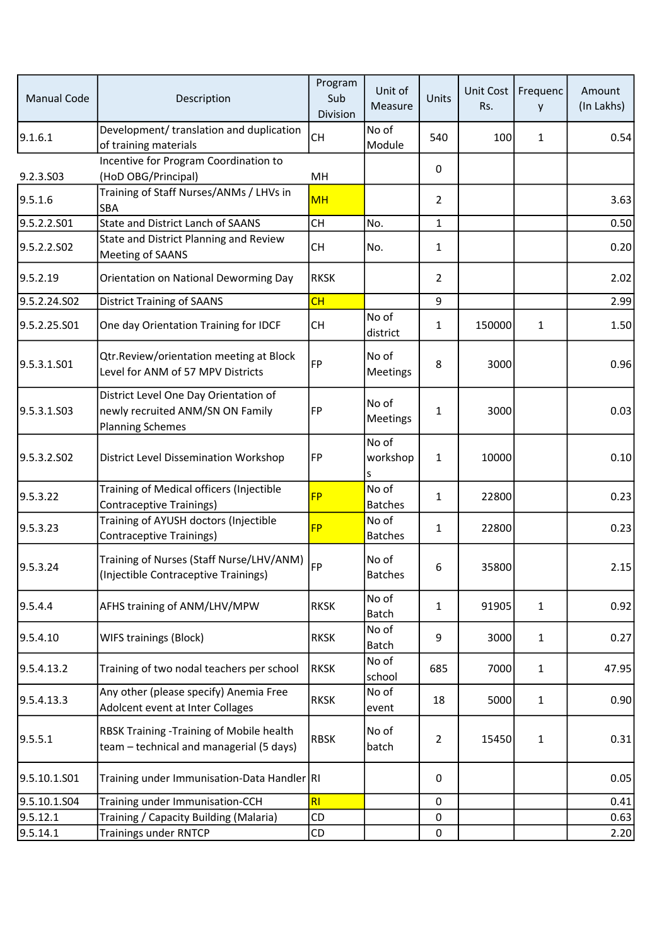| <b>Manual Code</b>      | Description                                                                                          | Program<br>Sub<br>Division | Unit of<br>Measure      | Units          | Unit Cost<br>Rs. | Frequenc<br>y | Amount<br>(In Lakhs) |
|-------------------------|------------------------------------------------------------------------------------------------------|----------------------------|-------------------------|----------------|------------------|---------------|----------------------|
| 9.1.6.1                 | Development/ translation and duplication<br>of training materials                                    | <b>CH</b>                  | No of<br>Module         | 540            | 100              | $\mathbf{1}$  | 0.54                 |
| 9.2.3.S03               | Incentive for Program Coordination to<br>(HoD OBG/Principal)                                         | MH                         |                         | 0              |                  |               |                      |
| 9.5.1.6                 | Training of Staff Nurses/ANMs / LHVs in<br>SBA                                                       | <b>MH</b>                  |                         | 2              |                  |               | 3.63                 |
| 9.5.2.2.S01             | <b>State and District Lanch of SAANS</b>                                                             | <b>CH</b>                  | No.                     | 1              |                  |               | 0.50                 |
| 9.5.2.2.502             | State and District Planning and Review<br>Meeting of SAANS                                           | <b>CH</b>                  | No.                     | $\mathbf{1}$   |                  |               | 0.20                 |
| 9.5.2.19                | Orientation on National Deworming Day                                                                | <b>RKSK</b>                |                         | $\overline{2}$ |                  |               | 2.02                 |
| 9.5.2.24.S02            | <b>District Training of SAANS</b>                                                                    | CH                         |                         | 9              |                  |               | 2.99                 |
| 9.5.2.25.S01            | One day Orientation Training for IDCF                                                                | <b>CH</b>                  | No of<br>district       | 1              | 150000           | $\mathbf{1}$  | 1.50                 |
| 9.5.3.1.S01             | Qtr.Review/orientation meeting at Block<br>Level for ANM of 57 MPV Districts                         | FP                         | No of<br>Meetings       | 8              | 3000             |               | 0.96                 |
| 9.5.3.1.S03             | District Level One Day Orientation of<br>newly recruited ANM/SN ON Family<br><b>Planning Schemes</b> | FP                         | No of<br>Meetings       | $\mathbf{1}$   | 3000             |               | 0.03                 |
| 9.5.3.2.SO <sub>2</sub> | District Level Dissemination Workshop                                                                | FP                         | No of<br>workshop<br>S  | $\mathbf{1}$   | 10000            |               | 0.10                 |
| 9.5.3.22                | Training of Medical officers (Injectible<br><b>Contraceptive Trainings)</b>                          | <b>FP</b>                  | No of<br><b>Batches</b> | 1              | 22800            |               | 0.23                 |
| 9.5.3.23                | Training of AYUSH doctors (Injectible<br><b>Contraceptive Trainings)</b>                             | <b>FP</b>                  | No of<br><b>Batches</b> | 1              | 22800            |               | 0.23                 |
| 9.5.3.24                | Training of Nurses (Staff Nurse/LHV/ANM)<br>(Injectible Contraceptive Trainings)                     | <b>FP</b>                  | No of<br><b>Batches</b> | 6              | 35800            |               | 2.15                 |
| 9.5.4.4                 | AFHS training of ANM/LHV/MPW                                                                         | <b>RKSK</b>                | No of<br><b>Batch</b>   | $\mathbf{1}$   | 91905            | $\mathbf{1}$  | 0.92                 |
| 9.5.4.10                | WIFS trainings (Block)                                                                               | <b>RKSK</b>                | No of<br>Batch          | 9              | 3000             | $\mathbf{1}$  | 0.27                 |
| 9.5.4.13.2              | Training of two nodal teachers per school                                                            | <b>RKSK</b>                | No of<br>school         | 685            | 7000             | $\mathbf{1}$  | 47.95                |
| 9.5.4.13.3              | Any other (please specify) Anemia Free<br>Adolcent event at Inter Collages                           | <b>RKSK</b>                | No of<br>event          | 18             | 5000             | $\mathbf{1}$  | 0.90                 |
| 9.5.5.1                 | RBSK Training -Training of Mobile health<br>team - technical and managerial (5 days)                 | <b>RBSK</b>                | No of<br>batch          | 2              | 15450            | $\mathbf{1}$  | 0.31                 |
| 9.5.10.1.S01            | Training under Immunisation-Data Handler RI                                                          |                            |                         | 0              |                  |               | 0.05                 |
| 9.5.10.1.S04            | Training under Immunisation-CCH                                                                      | RI                         |                         | 0              |                  |               | 0.41                 |
| 9.5.12.1                | Training / Capacity Building (Malaria)                                                               | CD                         |                         | 0              |                  |               | 0.63                 |
| 9.5.14.1                | <b>Trainings under RNTCP</b>                                                                         | CD                         |                         | 0              |                  |               | 2.20                 |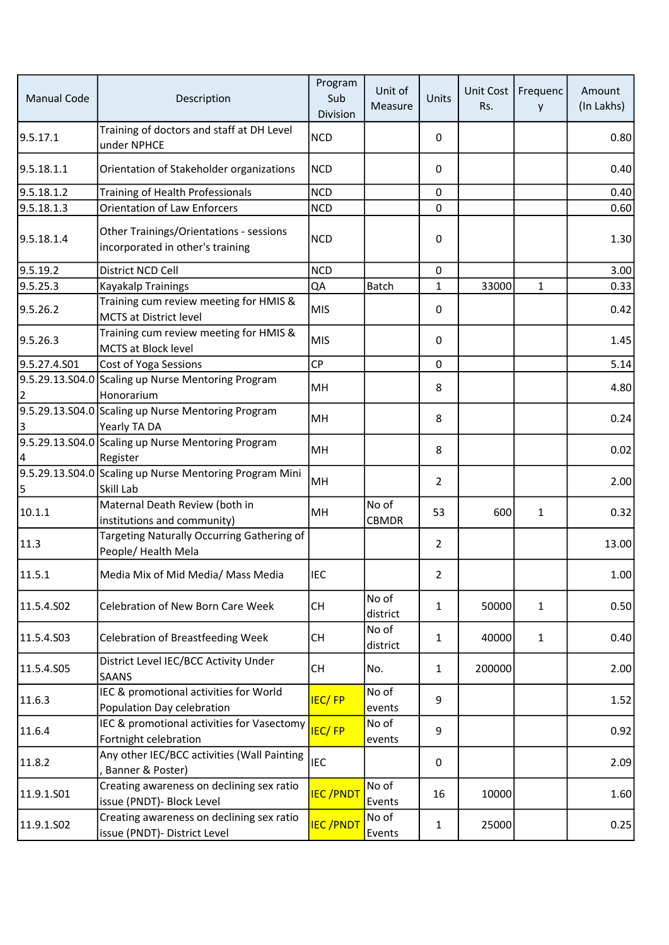| <b>Manual Code</b> | Description                                                                 | Program<br>Sub<br>Division | Unit of<br>Measure    | Units          | Unit Cost<br>Rs. | Frequenc<br>y | Amount<br>(In Lakhs) |
|--------------------|-----------------------------------------------------------------------------|----------------------------|-----------------------|----------------|------------------|---------------|----------------------|
| 9.5.17.1           | Training of doctors and staff at DH Level<br>under NPHCE                    | <b>NCD</b>                 |                       | 0              |                  |               | 0.80                 |
| 9.5.18.1.1         | Orientation of Stakeholder organizations                                    | <b>NCD</b>                 |                       | 0              |                  |               | 0.40                 |
| 9.5.18.1.2         | Training of Health Professionals                                            | <b>NCD</b>                 |                       | $\mathbf 0$    |                  |               | 0.40                 |
| 9.5.18.1.3         | <b>Orientation of Law Enforcers</b>                                         | <b>NCD</b>                 |                       | 0              |                  |               | 0.60                 |
| 9.5.18.1.4         | Other Trainings/Orientations - sessions<br>incorporated in other's training | <b>NCD</b>                 |                       | 0              |                  |               | 1.30                 |
| 9.5.19.2           | District NCD Cell                                                           | <b>NCD</b>                 |                       | 0              |                  |               | 3.00                 |
| 9.5.25.3           | Kayakalp Trainings                                                          | QA                         | <b>Batch</b>          | $\mathbf{1}$   | 33000            | $\mathbf{1}$  | 0.33                 |
| 9.5.26.2           | Training cum review meeting for HMIS &<br><b>MCTS at District level</b>     | MIS                        |                       | 0              |                  |               | 0.42                 |
| 9.5.26.3           | Training cum review meeting for HMIS &<br>MCTS at Block level               | <b>MIS</b>                 |                       | 0              |                  |               | 1.45                 |
| 9.5.27.4.S01       | Cost of Yoga Sessions                                                       | <b>CP</b>                  |                       | 0              |                  |               | 5.14                 |
| 2                  | 9.5.29.13.S04.0 Scaling up Nurse Mentoring Program<br>Honorarium            | MH                         |                       | 8              |                  |               | 4.80                 |
| 3                  | 9.5.29.13.S04.0 Scaling up Nurse Mentoring Program<br>Yearly TA DA          | MH                         |                       | 8              |                  |               | 0.24                 |
| 4                  | 9.5.29.13.S04.0 Scaling up Nurse Mentoring Program<br>Register              | MH                         |                       | 8              |                  |               | 0.02                 |
| 5                  | 9.5.29.13.S04.0 Scaling up Nurse Mentoring Program Mini<br>Skill Lab        | MH                         |                       | $\overline{2}$ |                  |               | 2.00                 |
| 10.1.1             | Maternal Death Review (both in<br>institutions and community)               | MH                         | No of<br><b>CBMDR</b> | 53             | 600              | $\mathbf{1}$  | 0.32                 |
| 11.3               | Targeting Naturally Occurring Gathering of<br>People/ Health Mela           |                            |                       | $\overline{2}$ |                  |               | 13.00                |
| 11.5.1             | Media Mix of Mid Media/ Mass Media                                          | <b>IEC</b>                 |                       | $\mathbf{2}$   |                  |               | 1.00                 |
| 11.5.4.SO2         | Celebration of New Born Care Week                                           | CH                         | No of<br>district     | $\mathbf{1}$   | 50000            | $\mathbf{1}$  | 0.50                 |
| 11.5.4.503         | Celebration of Breastfeeding Week                                           | <b>CH</b>                  | No of<br>district     | $\mathbf{1}$   | 40000            | $\mathbf{1}$  | 0.40                 |
| 11.5.4.S05         | District Level IEC/BCC Activity Under<br><b>SAANS</b>                       | <b>CH</b>                  | No.                   | $\mathbf{1}$   | 200000           |               | 2.00                 |
| 11.6.3             | IEC & promotional activities for World<br>Population Day celebration        | <b>IEC/FP</b>              | No of<br>events       | 9              |                  |               | 1.52                 |
| 11.6.4             | IEC & promotional activities for Vasectomy<br>Fortnight celebration         | <b>IEC/FP</b>              | No of<br>events       | 9              |                  |               | 0.92                 |
| 11.8.2             | Any other IEC/BCC activities (Wall Painting<br>, Banner & Poster)           | IEC                        |                       | 0              |                  |               | 2.09                 |
| 11.9.1.S01         | Creating awareness on declining sex ratio<br>issue (PNDT)- Block Level      | <b>IEC/PNDT</b>            | No of<br>Events       | 16             | 10000            |               | 1.60                 |
| 11.9.1.SO2         | Creating awareness on declining sex ratio<br>issue (PNDT)- District Level   | <b>IEC/PNDT</b>            | No of<br>Events       | 1              | 25000            |               | 0.25                 |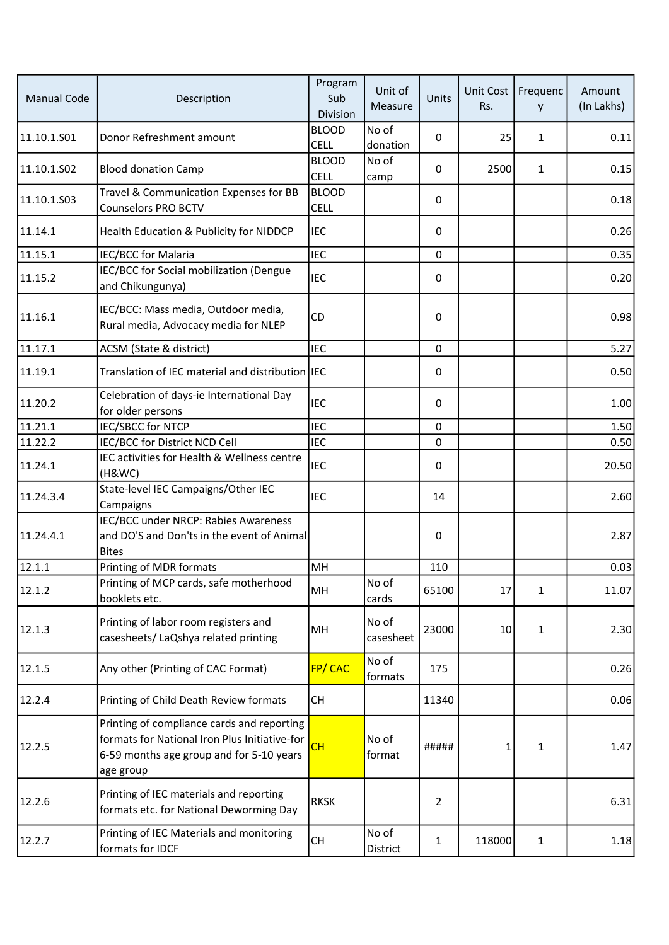| <b>Manual Code</b> | Description                                                                                                                                          | Program<br>Sub<br><b>Division</b> | Unit of<br>Measure | Units        | Unit Cost<br>Rs. | Frequenc<br>y | Amount<br>(In Lakhs) |
|--------------------|------------------------------------------------------------------------------------------------------------------------------------------------------|-----------------------------------|--------------------|--------------|------------------|---------------|----------------------|
| 11.10.1.501        | Donor Refreshment amount                                                                                                                             | <b>BLOOD</b><br><b>CELL</b>       | No of<br>donation  | $\mathbf{0}$ | 25               | $\mathbf{1}$  | 0.11                 |
| 11.10.1.502        | <b>Blood donation Camp</b>                                                                                                                           | <b>BLOOD</b><br><b>CELL</b>       | No of<br>camp      | 0            | 2500             | $\mathbf{1}$  | 0.15                 |
| 11.10.1.S03        | Travel & Communication Expenses for BB<br><b>Counselors PRO BCTV</b>                                                                                 | <b>BLOOD</b><br><b>CELL</b>       |                    | $\mathbf{0}$ |                  |               | 0.18                 |
| 11.14.1            | Health Education & Publicity for NIDDCP                                                                                                              | <b>IEC</b>                        |                    | $\mathbf{0}$ |                  |               | 0.26                 |
| 11.15.1            | IEC/BCC for Malaria                                                                                                                                  | <b>IEC</b>                        |                    | $\mathbf 0$  |                  |               | 0.35                 |
| 11.15.2            | IEC/BCC for Social mobilization (Dengue<br>and Chikungunya)                                                                                          | <b>IEC</b>                        |                    | 0            |                  |               | 0.20                 |
| 11.16.1            | IEC/BCC: Mass media, Outdoor media,<br>Rural media, Advocacy media for NLEP                                                                          | CD                                |                    | 0            |                  |               | 0.98                 |
| 11.17.1            | ACSM (State & district)                                                                                                                              | <b>IEC</b>                        |                    | $\mathbf 0$  |                  |               | 5.27                 |
| 11.19.1            | Translation of IEC material and distribution IEC                                                                                                     |                                   |                    | 0            |                  |               | 0.50                 |
| 11.20.2            | Celebration of days-ie International Day<br>for older persons                                                                                        | <b>IEC</b>                        |                    | 0            |                  |               | 1.00                 |
| 11.21.1            | <b>IEC/SBCC for NTCP</b>                                                                                                                             | <b>IEC</b>                        |                    | $\mathbf 0$  |                  |               | 1.50                 |
| 11.22.2            | IEC/BCC for District NCD Cell                                                                                                                        | <b>IEC</b>                        |                    | 0            |                  |               | 0.50                 |
| 11.24.1            | IEC activities for Health & Wellness centre<br>(H&WC)                                                                                                | <b>IEC</b>                        |                    | 0            |                  |               | 20.50                |
| 11.24.3.4          | State-level IEC Campaigns/Other IEC<br>Campaigns                                                                                                     | <b>IEC</b>                        |                    | 14           |                  |               | 2.60                 |
| 11.24.4.1          | <b>IEC/BCC under NRCP: Rabies Awareness</b><br>and DO'S and Don'ts in the event of Animal<br><b>Bites</b>                                            |                                   |                    | $\Omega$     |                  |               | 2.87                 |
| 12.1.1             | Printing of MDR formats                                                                                                                              | MH                                |                    | 110          |                  |               | 0.03                 |
| 12.1.2             | Printing of MCP cards, safe motherhood<br>booklets etc.                                                                                              | MH                                | No of<br>cards     | 65100        | 17               | $\mathbf{1}$  | 11.07                |
| 12.1.3             | Printing of labor room registers and<br>casesheets/ LaQshya related printing                                                                         | MH                                | No of<br>casesheet | 23000        | 10               | $\mathbf{1}$  | 2.30                 |
| 12.1.5             | Any other (Printing of CAC Format)                                                                                                                   | FP/CAC                            | No of<br>formats   | 175          |                  |               | 0.26                 |
| 12.2.4             | Printing of Child Death Review formats                                                                                                               | <b>CH</b>                         |                    | 11340        |                  |               | 0.06                 |
| 12.2.5             | Printing of compliance cards and reporting<br>formats for National Iron Plus Initiative-for<br>6-59 months age group and for 5-10 years<br>age group | СH                                | No of<br>format    | #####        | 1                | $\mathbf{1}$  | 1.47                 |
| 12.2.6             | Printing of IEC materials and reporting<br>formats etc. for National Deworming Day                                                                   | <b>RKSK</b>                       |                    | 2            |                  |               | 6.31                 |
| 12.2.7             | Printing of IEC Materials and monitoring<br>formats for IDCF                                                                                         | <b>CH</b>                         | No of<br>District  | 1            | 118000           | $\mathbf{1}$  | 1.18                 |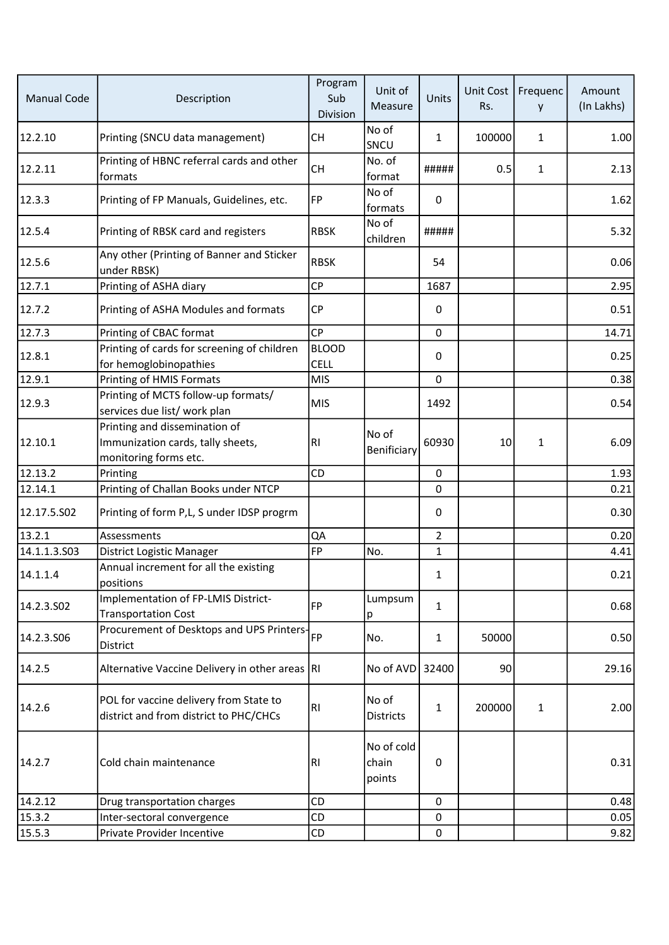| <b>Manual Code</b> | Description                                                                                 | Program<br>Sub<br>Division  | Unit of<br>Measure            | Units          | <b>Unit Cost</b><br>Rs. | Frequenc<br>y | Amount<br>(In Lakhs) |
|--------------------|---------------------------------------------------------------------------------------------|-----------------------------|-------------------------------|----------------|-------------------------|---------------|----------------------|
| 12.2.10            | Printing (SNCU data management)                                                             | CH                          | No of<br>SNCU                 | 1              | 100000                  | $\mathbf{1}$  | 1.00                 |
| 12.2.11            | Printing of HBNC referral cards and other<br>formats                                        | <b>CH</b>                   | No. of<br>format              | #####          | 0.5                     | $\mathbf{1}$  | 2.13                 |
| 12.3.3             | Printing of FP Manuals, Guidelines, etc.                                                    | FP                          | No of<br>formats              | 0              |                         |               | 1.62                 |
| 12.5.4             | Printing of RBSK card and registers                                                         | <b>RBSK</b>                 | No of<br>children             | #####          |                         |               | 5.32                 |
| 12.5.6             | Any other (Printing of Banner and Sticker<br>under RBSK)                                    | <b>RBSK</b>                 |                               | 54             |                         |               | 0.06                 |
| 12.7.1             | Printing of ASHA diary                                                                      | <b>CP</b>                   |                               | 1687           |                         |               | 2.95                 |
| 12.7.2             | Printing of ASHA Modules and formats                                                        | <b>CP</b>                   |                               | 0              |                         |               | 0.51                 |
| 12.7.3             | Printing of CBAC format                                                                     | CP                          |                               | $\mathbf 0$    |                         |               | 14.71                |
| 12.8.1             | Printing of cards for screening of children<br>for hemoglobinopathies                       | <b>BLOOD</b><br><b>CELL</b> |                               | 0              |                         |               | 0.25                 |
| 12.9.1             | Printing of HMIS Formats                                                                    | MIS                         |                               | $\mathbf 0$    |                         |               | 0.38                 |
| 12.9.3             | Printing of MCTS follow-up formats/<br>services due list/ work plan                         | MIS                         |                               | 1492           |                         |               | 0.54                 |
| 12.10.1            | Printing and dissemination of<br>Immunization cards, tally sheets,<br>monitoring forms etc. | <b>RI</b>                   | No of<br>Benificiary          | 60930          | 10                      | $\mathbf{1}$  | 6.09                 |
| 12.13.2            | Printing                                                                                    | CD                          |                               | $\mathbf 0$    |                         |               | 1.93                 |
| 12.14.1            | Printing of Challan Books under NTCP                                                        |                             |                               | 0              |                         |               | 0.21                 |
| 12.17.5.S02        | Printing of form P,L, S under IDSP progrm                                                   |                             |                               | 0              |                         |               | 0.30                 |
| 13.2.1             | Assessments                                                                                 | QA                          |                               | $\overline{2}$ |                         |               | 0.20                 |
| 14.1.1.3.503       | District Logistic Manager                                                                   | <b>FP</b>                   | No.                           | $\mathbf{1}$   |                         |               | 4.41                 |
| 14.1.1.4           | Annual increment for all the existing<br>positions                                          |                             |                               | $\mathbf{1}$   |                         |               | 0.21                 |
| 14.2.3.SO2         | Implementation of FP-LMIS District-<br><b>Transportation Cost</b>                           | <b>FP</b>                   | Lumpsum<br>p                  | 1              |                         |               | 0.68                 |
| 14.2.3.S06         | Procurement of Desktops and UPS Printers-<br>District                                       | FP                          | No.                           | $\mathbf{1}$   | 50000                   |               | 0.50                 |
| 14.2.5             | Alternative Vaccine Delivery in other areas RI                                              |                             | No of AVD                     | 32400          | 90                      |               | 29.16                |
| 14.2.6             | POL for vaccine delivery from State to<br>district and from district to PHC/CHCs            | RI                          | No of<br><b>Districts</b>     | $\mathbf{1}$   | 200000                  | $\mathbf{1}$  | 2.00                 |
| 14.2.7             | Cold chain maintenance                                                                      | RI                          | No of cold<br>chain<br>points | 0              |                         |               | 0.31                 |
| 14.2.12            | Drug transportation charges                                                                 | CD                          |                               | 0              |                         |               | 0.48                 |
| 15.3.2             | Inter-sectoral convergence                                                                  | CD                          |                               | 0              |                         |               | 0.05                 |
| 15.5.3             | Private Provider Incentive                                                                  | CD                          |                               | 0              |                         |               | 9.82                 |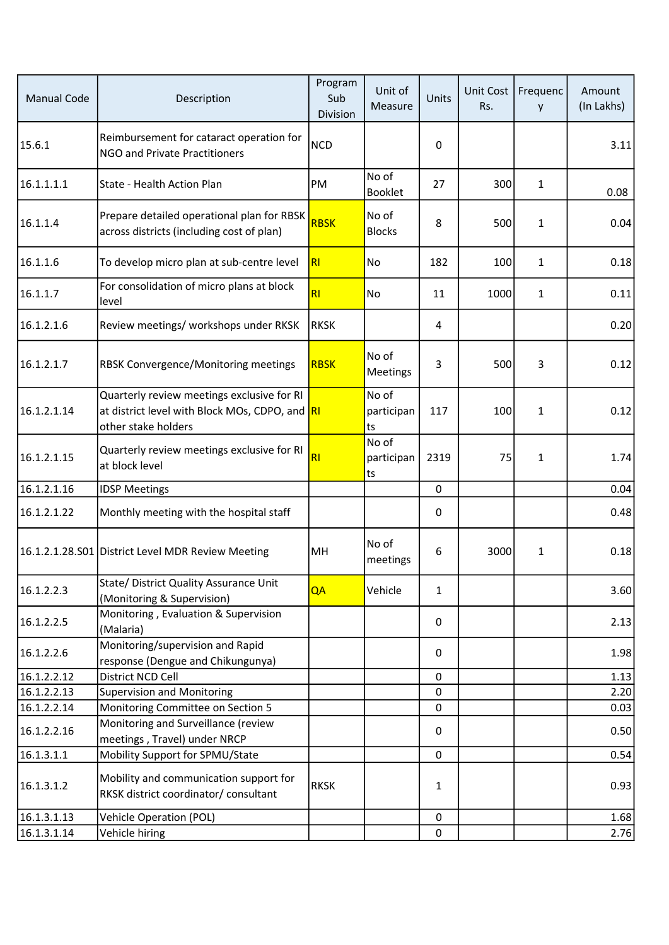| <b>Manual Code</b> | Description                                                                                                         | Program<br>Sub<br>Division | Unit of<br>Measure        | Units        | <b>Unit Cost</b><br>Rs. | Frequenc<br>y | Amount<br>(In Lakhs) |
|--------------------|---------------------------------------------------------------------------------------------------------------------|----------------------------|---------------------------|--------------|-------------------------|---------------|----------------------|
| 15.6.1             | Reimbursement for cataract operation for<br><b>NGO and Private Practitioners</b>                                    | <b>NCD</b>                 |                           | 0            |                         |               | 3.11                 |
| 16.1.1.1.1         | State - Health Action Plan                                                                                          | PM                         | No of<br><b>Booklet</b>   | 27           | 300                     | $\mathbf{1}$  | 0.08                 |
| 16.1.1.4           | Prepare detailed operational plan for RBSK<br>across districts (including cost of plan)                             | <b>RBSK</b>                | No of<br><b>Blocks</b>    | 8            | 500                     | $\mathbf{1}$  | 0.04                 |
| 16.1.1.6           | To develop micro plan at sub-centre level                                                                           | RI                         | <b>No</b>                 | 182          | 100                     | 1             | 0.18                 |
| 16.1.1.7           | For consolidation of micro plans at block<br>level                                                                  | R <sub>l</sub>             | No                        | 11           | 1000                    | $\mathbf{1}$  | 0.11                 |
| 16.1.2.1.6         | Review meetings/ workshops under RKSK                                                                               | <b>RKSK</b>                |                           | 4            |                         |               | 0.20                 |
| 16.1.2.1.7         | RBSK Convergence/Monitoring meetings                                                                                | <b>RBSK</b>                | No of<br>Meetings         | 3            | 500                     | 3             | 0.12                 |
| 16.1.2.1.14        | Quarterly review meetings exclusive for RI<br>at district level with Block MOs, CDPO, and RI<br>other stake holders |                            | No of<br>participan<br>ts | 117          | 100                     | $\mathbf{1}$  | 0.12                 |
| 16.1.2.1.15        | Quarterly review meetings exclusive for RI<br>at block level                                                        | R1                         | No of<br>participan<br>ts | 2319         | 75                      | 1             | 1.74                 |
| 16.1.2.1.16        | <b>IDSP Meetings</b>                                                                                                |                            |                           | $\mathbf 0$  |                         |               | 0.04                 |
| 16.1.2.1.22        | Monthly meeting with the hospital staff                                                                             |                            |                           | 0            |                         |               | 0.48                 |
|                    | 16.1.2.1.28.501 District Level MDR Review Meeting                                                                   | MH                         | No of<br>meetings         | 6            | 3000                    | 1             | 0.18                 |
| 16.1.2.2.3         | State/ District Quality Assurance Unit<br>(Monitoring & Supervision)                                                | QA                         | Vehicle                   | $\mathbf{1}$ |                         |               | 3.60                 |
| 16.1.2.2.5         | Monitoring, Evaluation & Supervision<br>(Malaria)                                                                   |                            |                           | 0            |                         |               | 2.13                 |
| 16.1.2.2.6         | Monitoring/supervision and Rapid<br>response (Dengue and Chikungunya)                                               |                            |                           | 0            |                         |               | 1.98                 |
| 16.1.2.2.12        | District NCD Cell                                                                                                   |                            |                           | $\mathbf 0$  |                         |               | 1.13                 |
| 16.1.2.2.13        | <b>Supervision and Monitoring</b>                                                                                   |                            |                           | $\Omega$     |                         |               | 2.20                 |
| 16.1.2.2.14        | Monitoring Committee on Section 5                                                                                   |                            |                           | 0            |                         |               | 0.03                 |
| 16.1.2.2.16        | Monitoring and Surveillance (review<br>meetings, Travel) under NRCP                                                 |                            |                           | $\mathbf 0$  |                         |               | 0.50                 |
| 16.1.3.1.1         | Mobility Support for SPMU/State                                                                                     |                            |                           | 0            |                         |               | 0.54                 |
| 16.1.3.1.2         | Mobility and communication support for<br>RKSK district coordinator/ consultant                                     | <b>RKSK</b>                |                           | $\mathbf{1}$ |                         |               | 0.93                 |
| 16.1.3.1.13        | <b>Vehicle Operation (POL)</b>                                                                                      |                            |                           | 0            |                         |               | 1.68                 |
| 16.1.3.1.14        | Vehicle hiring                                                                                                      |                            |                           | 0            |                         |               | 2.76                 |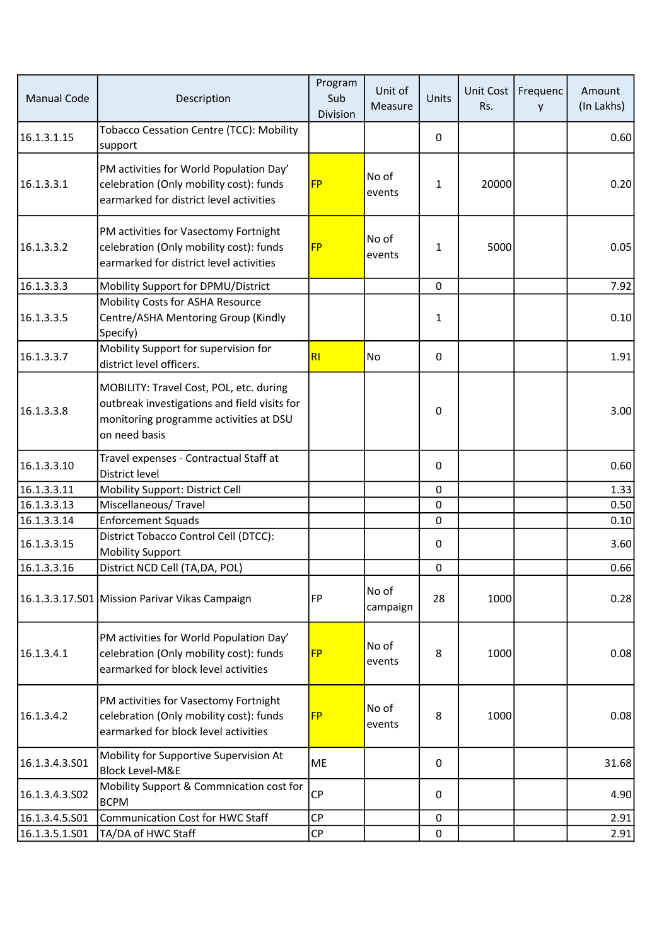| <b>Manual Code</b> | Description                                                                                                                                        | Program<br>Sub<br>Division | Unit of<br>Measure | Units        | Unit Cost<br>Rs. | Frequenc<br>y | Amount<br>(In Lakhs) |
|--------------------|----------------------------------------------------------------------------------------------------------------------------------------------------|----------------------------|--------------------|--------------|------------------|---------------|----------------------|
| 16.1.3.1.15        | <b>Tobacco Cessation Centre (TCC): Mobility</b><br>support                                                                                         |                            |                    | 0            |                  |               | 0.60                 |
| 16.1.3.3.1         | PM activities for World Population Day'<br>celebration (Only mobility cost): funds<br>earmarked for district level activities                      | <b>FP</b>                  | No of<br>events    | $\mathbf{1}$ | 20000            |               | 0.20                 |
| 16.1.3.3.2         | PM activities for Vasectomy Fortnight<br>celebration (Only mobility cost): funds<br>earmarked for district level activities                        | <b>FP</b>                  | No of<br>events    | $\mathbf{1}$ | 5000             |               | 0.05                 |
| 16.1.3.3.3         | Mobility Support for DPMU/District                                                                                                                 |                            |                    | $\mathbf 0$  |                  |               | 7.92                 |
| 16.1.3.3.5         | Mobility Costs for ASHA Resource<br>Centre/ASHA Mentoring Group (Kindly<br>Specify)                                                                |                            |                    | 1            |                  |               | 0.10                 |
| 16.1.3.3.7         | Mobility Support for supervision for<br>district level officers.                                                                                   | RI                         | No                 | $\mathbf 0$  |                  |               | 1.91                 |
| 16.1.3.3.8         | MOBILITY: Travel Cost, POL, etc. during<br>outbreak investigations and field visits for<br>monitoring programme activities at DSU<br>on need basis |                            |                    | $\mathbf{0}$ |                  |               | 3.00                 |
| 16.1.3.3.10        | Travel expenses - Contractual Staff at<br>District level                                                                                           |                            |                    | 0            |                  |               | 0.60                 |
| 16.1.3.3.11        | Mobility Support: District Cell                                                                                                                    |                            |                    | $\mathbf 0$  |                  |               | 1.33                 |
| 16.1.3.3.13        | Miscellaneous/Travel                                                                                                                               |                            |                    | $\pmb{0}$    |                  |               | 0.50                 |
| 16.1.3.3.14        | <b>Enforcement Squads</b>                                                                                                                          |                            |                    | 0            |                  |               | 0.10                 |
| 16.1.3.3.15        | District Tobacco Control Cell (DTCC):<br><b>Mobility Support</b>                                                                                   |                            |                    | 0            |                  |               | 3.60                 |
| 16.1.3.3.16        | District NCD Cell (TA, DA, POL)                                                                                                                    |                            |                    | 0            |                  |               | 0.66                 |
|                    | 16.1.3.3.17.501 Mission Parivar Vikas Campaign                                                                                                     | <b>FP</b>                  | No of<br>campaign  | 28           | 1000             |               | 0.28                 |
| 16.1.3.4.1         | PM activities for World Population Day'<br>celebration (Only mobility cost): funds<br>earmarked for block level activities                         | <b>FP</b>                  | No of<br>events    | 8            | 1000             |               | 0.08                 |
| 16.1.3.4.2         | PM activities for Vasectomy Fortnight<br>celebration (Only mobility cost): funds<br>earmarked for block level activities                           | <b>FP</b>                  | No of<br>events    | 8            | 1000             |               | 0.08                 |
| 16.1.3.4.3.501     | Mobility for Supportive Supervision At<br><b>Block Level-M&amp;E</b>                                                                               | ME                         |                    | 0            |                  |               | 31.68                |
| 16.1.3.4.3.502     | Mobility Support & Commnication cost for<br><b>BCPM</b>                                                                                            | CP                         |                    | 0            |                  |               | 4.90                 |
| 16.1.3.4.5.S01     | <b>Communication Cost for HWC Staff</b>                                                                                                            | CP                         |                    | 0            |                  |               | 2.91                 |
| 16.1.3.5.1.501     | TA/DA of HWC Staff                                                                                                                                 | $\mathsf{CP}$              |                    | $\pmb{0}$    |                  |               | 2.91                 |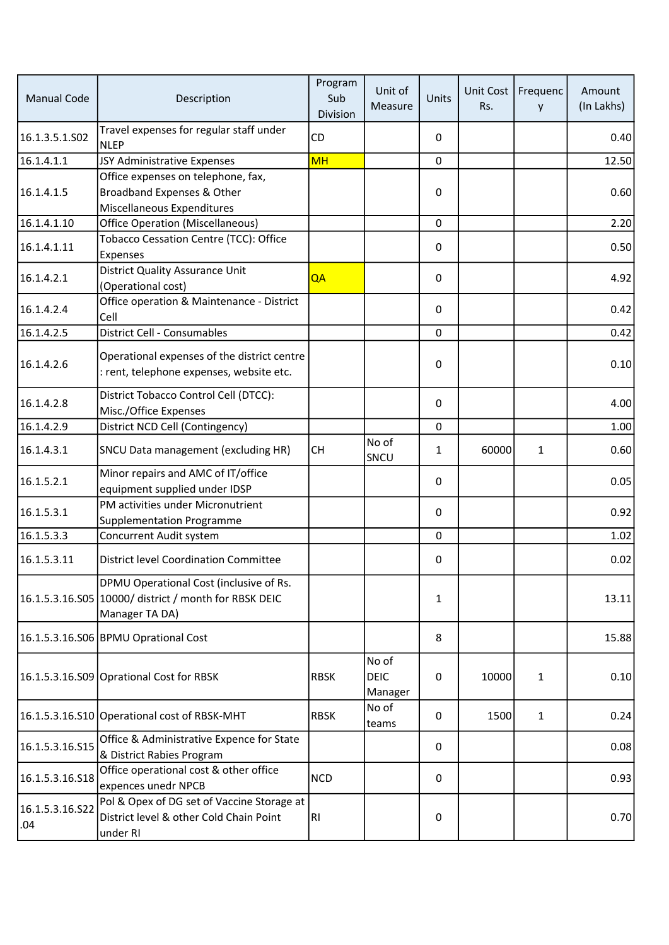| <b>Manual Code</b>     | Description                                                                                                        | Program<br>Sub<br>Division | Unit of<br>Measure              | Units        | Unit Cost<br>Rs. | Frequenc<br>y | Amount<br>(In Lakhs) |
|------------------------|--------------------------------------------------------------------------------------------------------------------|----------------------------|---------------------------------|--------------|------------------|---------------|----------------------|
| 16.1.3.5.1.S02         | Travel expenses for regular staff under<br><b>NLEP</b>                                                             | <b>CD</b>                  |                                 | $\mathbf{0}$ |                  |               | 0.40                 |
| 16.1.4.1.1             | JSY Administrative Expenses                                                                                        | <b>MH</b>                  |                                 | $\mathbf 0$  |                  |               | 12.50                |
| 16.1.4.1.5             | Office expenses on telephone, fax,<br>Broadband Expenses & Other<br>Miscellaneous Expenditures                     |                            |                                 | 0            |                  |               | 0.60                 |
| 16.1.4.1.10            | <b>Office Operation (Miscellaneous)</b>                                                                            |                            |                                 | 0            |                  |               | 2.20                 |
| 16.1.4.1.11            | Tobacco Cessation Centre (TCC): Office<br>Expenses                                                                 |                            |                                 | 0            |                  |               | 0.50                 |
| 16.1.4.2.1             | District Quality Assurance Unit<br>(Operational cost)                                                              | QA                         |                                 | 0            |                  |               | 4.92                 |
| 16.1.4.2.4             | Office operation & Maintenance - District<br>Cell                                                                  |                            |                                 | $\mathbf{0}$ |                  |               | 0.42                 |
| 16.1.4.2.5             | District Cell - Consumables                                                                                        |                            |                                 | $\mathbf 0$  |                  |               | 0.42                 |
| 16.1.4.2.6             | Operational expenses of the district centre<br>: rent, telephone expenses, website etc.                            |                            |                                 | 0            |                  |               | 0.10                 |
| 16.1.4.2.8             | District Tobacco Control Cell (DTCC):<br>Misc./Office Expenses                                                     |                            |                                 | $\mathbf{0}$ |                  |               | 4.00                 |
| 16.1.4.2.9             | District NCD Cell (Contingency)                                                                                    |                            |                                 | 0            |                  |               | 1.00                 |
| 16.1.4.3.1             | SNCU Data management (excluding HR)                                                                                | CH.                        | No of<br>SNCU                   | $\mathbf{1}$ | 60000            | $\mathbf{1}$  | 0.60                 |
| 16.1.5.2.1             | Minor repairs and AMC of IT/office<br>equipment supplied under IDSP                                                |                            |                                 | 0            |                  |               | 0.05                 |
| 16.1.5.3.1             | PM activities under Micronutrient<br><b>Supplementation Programme</b>                                              |                            |                                 | $\mathbf{0}$ |                  |               | 0.92                 |
| 16.1.5.3.3             | Concurrent Audit system                                                                                            |                            |                                 | $\mathbf 0$  |                  |               | 1.02                 |
| 16.1.5.3.11            | <b>District level Coordination Committee</b>                                                                       |                            |                                 | 0            |                  |               | 0.02                 |
|                        | DPMU Operational Cost (inclusive of Rs.<br>16.1.5.3.16.S05 10000/ district / month for RBSK DEIC<br>Manager TA DA) |                            |                                 | 1            |                  |               | 13.11                |
|                        | 16.1.5.3.16.S06 BPMU Oprational Cost                                                                               |                            |                                 | 8            |                  |               | 15.88                |
|                        | 16.1.5.3.16.S09 Oprational Cost for RBSK                                                                           | <b>RBSK</b>                | No of<br><b>DEIC</b><br>Manager | 0            | 10000            | $\mathbf{1}$  | 0.10                 |
|                        | 16.1.5.3.16.S10 Operational cost of RBSK-MHT                                                                       | <b>RBSK</b>                | No of<br>teams                  | 0            | 1500             | $\mathbf{1}$  | 0.24                 |
| 16.1.5.3.16.S15        | Office & Administrative Expence for State<br>& District Rabies Program                                             |                            |                                 | 0            |                  |               | 0.08                 |
| 16.1.5.3.16.S18        | Office operational cost & other office<br>expences unedr NPCB                                                      | <b>NCD</b>                 |                                 | 0            |                  |               | 0.93                 |
| 16.1.5.3.16.522<br>.04 | Pol & Opex of DG set of Vaccine Storage at<br>District level & other Cold Chain Point<br>under RI                  | RI                         |                                 | 0            |                  |               | 0.70                 |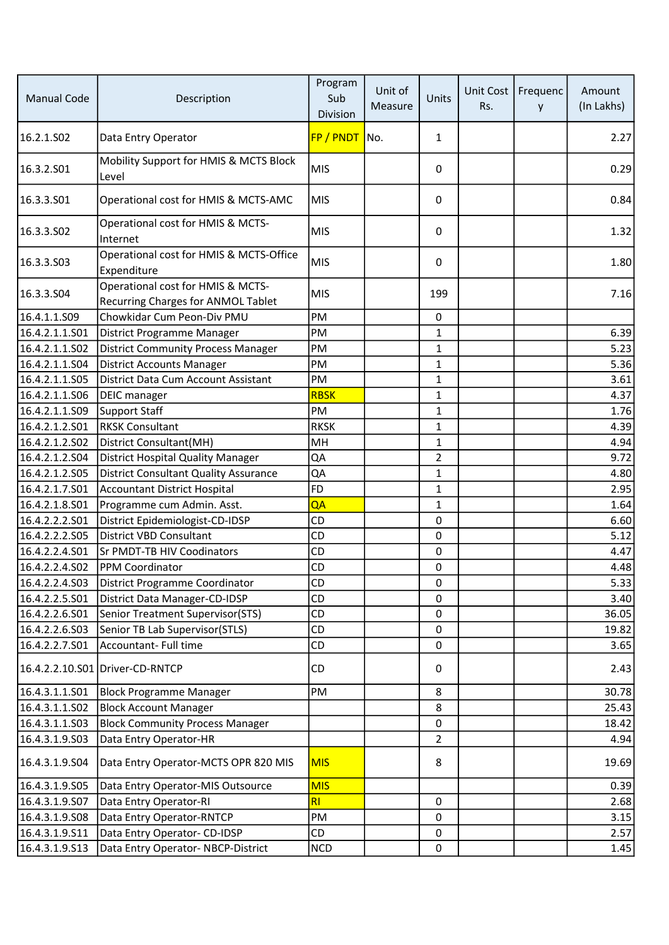| <b>Manual Code</b>     | Description                                                             | Program<br>Sub<br>Division | Unit of<br>Measure | Units          | Unit Cost<br>Rs. | Frequenc<br>y | Amount<br>(In Lakhs) |
|------------------------|-------------------------------------------------------------------------|----------------------------|--------------------|----------------|------------------|---------------|----------------------|
| 16.2.1.SO <sub>2</sub> | Data Entry Operator                                                     | FP / PNDT                  | No.                | $\mathbf{1}$   |                  |               | 2.27                 |
| 16.3.2.501             | Mobility Support for HMIS & MCTS Block<br>Level                         | <b>MIS</b>                 |                    | 0              |                  |               | 0.29                 |
| 16.3.3.501             | Operational cost for HMIS & MCTS-AMC                                    | MIS                        |                    | $\Omega$       |                  |               | 0.84                 |
| 16.3.3.502             | Operational cost for HMIS & MCTS-<br>Internet                           | <b>MIS</b>                 |                    | 0              |                  |               | 1.32                 |
| 16.3.3.503             | Operational cost for HMIS & MCTS-Office<br>Expenditure                  | MIS                        |                    | 0              |                  |               | 1.80                 |
| 16.3.3.S04             | Operational cost for HMIS & MCTS-<br>Recurring Charges for ANMOL Tablet | <b>MIS</b>                 |                    | 199            |                  |               | 7.16                 |
| 16.4.1.1.S09           | Chowkidar Cum Peon-Div PMU                                              | PM                         |                    | 0              |                  |               |                      |
| 16.4.2.1.1.S01         | District Programme Manager                                              | PM                         |                    | $\mathbf{1}$   |                  |               | 6.39                 |
| 16.4.2.1.1.502         | <b>District Community Process Manager</b>                               | PM                         |                    | 1              |                  |               | 5.23                 |
| 16.4.2.1.1.504         | <b>District Accounts Manager</b>                                        | PM                         |                    | 1              |                  |               | 5.36                 |
| 16.4.2.1.1.S05         | District Data Cum Account Assistant                                     | PM                         |                    | 1              |                  |               | 3.61                 |
| 16.4.2.1.1.S06         | <b>DEIC</b> manager                                                     | <b>RBSK</b>                |                    | $\mathbf{1}$   |                  |               | 4.37                 |
| 16.4.2.1.1.509         | <b>Support Staff</b>                                                    | PM                         |                    | $\mathbf{1}$   |                  |               | 1.76                 |
| 16.4.2.1.2.501         | <b>RKSK Consultant</b>                                                  | <b>RKSK</b>                |                    | $\mathbf{1}$   |                  |               | 4.39                 |
| 16.4.2.1.2.502         | District Consultant(MH)                                                 | MH                         |                    | $\mathbf{1}$   |                  |               | 4.94                 |
| 16.4.2.1.2.504         | <b>District Hospital Quality Manager</b>                                | QA                         |                    | $\overline{2}$ |                  |               | 9.72                 |
| 16.4.2.1.2.S05         | <b>District Consultant Quality Assurance</b>                            | QA                         |                    | 1              |                  |               | 4.80                 |
| 16.4.2.1.7.S01         | <b>Accountant District Hospital</b>                                     | FD                         |                    | $\mathbf{1}$   |                  |               | 2.95                 |
| 16.4.2.1.8.501         | Programme cum Admin. Asst.                                              | QA                         |                    | $\mathbf{1}$   |                  |               | 1.64                 |
| 16.4.2.2.2.S01         | District Epidemiologist-CD-IDSP                                         | CD                         |                    | 0              |                  |               | 6.60                 |
| 16.4.2.2.2.505         | <b>District VBD Consultant</b>                                          | CD                         |                    | 0              |                  |               | 5.12                 |
| 16.4.2.2.4.501         | <b>Sr PMDT-TB HIV Coodinators</b>                                       | CD                         |                    | 0              |                  |               | 4.47                 |
| 16.4.2.2.4.S02         | PPM Coordinator                                                         | CD                         |                    | 0              |                  |               | 4.48                 |
| 16.4.2.2.4.S03         | District Programme Coordinator                                          | CD                         |                    | 0              |                  |               | 5.33                 |
| 16.4.2.2.5.S01         | District Data Manager-CD-IDSP                                           | CD                         |                    | 0              |                  |               | 3.40                 |
| 16.4.2.2.6.S01         | Senior Treatment Supervisor(STS)                                        | <b>CD</b>                  |                    | 0              |                  |               | 36.05                |
| 16.4.2.2.6.S03         | Senior TB Lab Supervisor(STLS)                                          | CD                         |                    | 0              |                  |               | 19.82                |
| 16.4.2.2.7.S01         | Accountant- Full time                                                   | CD                         |                    | 0              |                  |               | 3.65                 |
|                        | 16.4.2.2.10.S01 Driver-CD-RNTCP                                         | <b>CD</b>                  |                    | 0              |                  |               | 2.43                 |
| 16.4.3.1.1.501         | <b>Block Programme Manager</b>                                          | PM                         |                    | 8              |                  |               | 30.78                |
| 16.4.3.1.1.S02         | <b>Block Account Manager</b>                                            |                            |                    | 8              |                  |               | 25.43                |
| 16.4.3.1.1.503         | <b>Block Community Process Manager</b>                                  |                            |                    | 0              |                  |               | 18.42                |
| 16.4.3.1.9.S03         | Data Entry Operator-HR                                                  |                            |                    | $\overline{2}$ |                  |               | 4.94                 |
| 16.4.3.1.9.S04         | Data Entry Operator-MCTS OPR 820 MIS                                    | <b>MIS</b>                 |                    | 8              |                  |               | 19.69                |
| 16.4.3.1.9.505         | Data Entry Operator-MIS Outsource                                       | <b>MIS</b>                 |                    |                |                  |               | 0.39                 |
| 16.4.3.1.9.507         | Data Entry Operator-RI                                                  | R <sub>l</sub>             |                    | 0              |                  |               | 2.68                 |
| 16.4.3.1.9.S08         | Data Entry Operator-RNTCP                                               | PM                         |                    | 0              |                  |               | 3.15                 |
| 16.4.3.1.9.511         | Data Entry Operator- CD-IDSP                                            | CD                         |                    | 0              |                  |               | 2.57                 |
| 16.4.3.1.9.S13         | Data Entry Operator-NBCP-District                                       | <b>NCD</b>                 |                    | $\mathbf 0$    |                  |               | 1.45                 |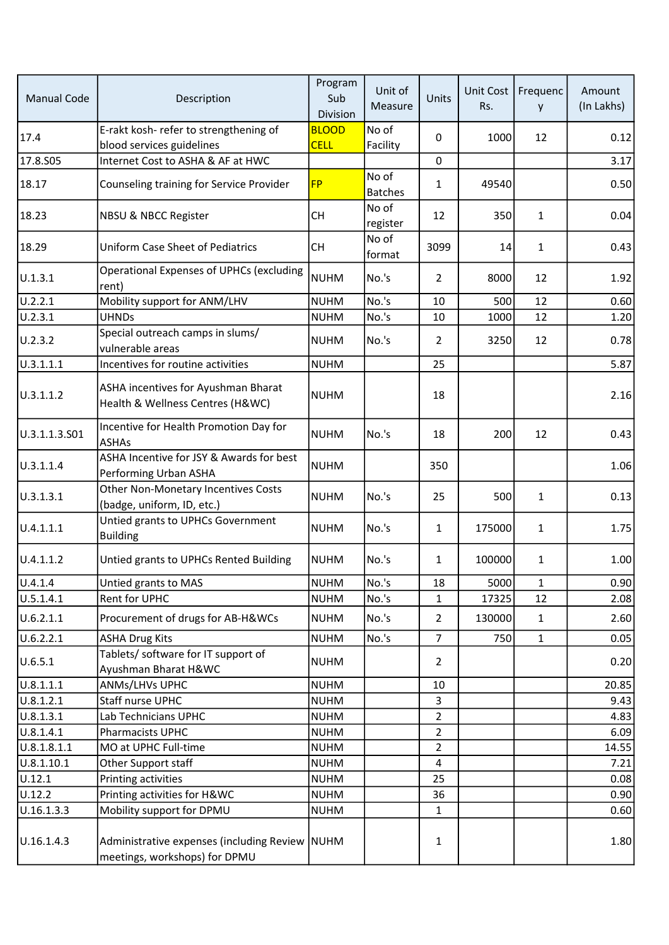| <b>Manual Code</b> | Description                                                                     | Program<br>Sub<br>Division  | Unit of<br>Measure      | Units          | Unit Cost<br>Rs. | Frequenc<br>y | Amount<br>(In Lakhs) |
|--------------------|---------------------------------------------------------------------------------|-----------------------------|-------------------------|----------------|------------------|---------------|----------------------|
| 17.4               | E-rakt kosh- refer to strengthening of<br>blood services guidelines             | <b>BLOOD</b><br><b>CELL</b> | No of<br>Facility       | 0              | 1000             | 12            | 0.12                 |
| 17.8.S05           | Internet Cost to ASHA & AF at HWC                                               |                             |                         | 0              |                  |               | 3.17                 |
| 18.17              | Counseling training for Service Provider                                        | <b>FP</b>                   | No of<br><b>Batches</b> | $\mathbf{1}$   | 49540            |               | 0.50                 |
| 18.23              | <b>NBSU &amp; NBCC Register</b>                                                 | <b>CH</b>                   | No of<br>register       | 12             | 350              | $\mathbf{1}$  | 0.04                 |
| 18.29              | <b>Uniform Case Sheet of Pediatrics</b>                                         | <b>CH</b>                   | No of<br>format         | 3099           | 14               | $\mathbf{1}$  | 0.43                 |
| U.1.3.1            | Operational Expenses of UPHCs (excluding<br>rent)                               | <b>NUHM</b>                 | No.'s                   | $\overline{2}$ | 8000             | 12            | 1.92                 |
| U.2.2.1            | Mobility support for ANM/LHV                                                    | NUHM                        | No.'s                   | 10             | 500              | 12            | 0.60                 |
| U.2.3.1            | <b>UHNDs</b>                                                                    | <b>NUHM</b>                 | No.'s                   | 10             | 1000             | 12            | 1.20                 |
| U.2.3.2            | Special outreach camps in slums/<br>vulnerable areas                            | <b>NUHM</b>                 | No.'s                   | $\overline{2}$ | 3250             | 12            | 0.78                 |
| U.3.1.1.1          | Incentives for routine activities                                               | <b>NUHM</b>                 |                         | 25             |                  |               | 5.87                 |
| U.3.1.1.2          | ASHA incentives for Ayushman Bharat<br>Health & Wellness Centres (H&WC)         | NUHM                        |                         | 18             |                  |               | 2.16                 |
| U.3.1.1.3.501      | Incentive for Health Promotion Day for<br><b>ASHAs</b>                          | NUHM                        | No.'s                   | 18             | 200              | 12            | 0.43                 |
| U.3.1.1.4          | ASHA Incentive for JSY & Awards for best<br>Performing Urban ASHA               | NUHM                        |                         | 350            |                  |               | 1.06                 |
| U.3.1.3.1          | Other Non-Monetary Incentives Costs<br>(badge, uniform, ID, etc.)               | NUHM                        | No.'s                   | 25             | 500              | $\mathbf{1}$  | 0.13                 |
| U.4.1.1.1          | Untied grants to UPHCs Government<br><b>Building</b>                            | NUHM                        | No.'s                   | $\mathbf{1}$   | 175000           | $\mathbf{1}$  | 1.75                 |
| U.4.1.1.2          | Untied grants to UPHCs Rented Building                                          | NUHM                        | No.'s                   | $\mathbf{1}$   | 100000           | $\mathbf{1}$  | 1.00                 |
| U.4.1.4            | Untied grants to MAS                                                            | NUHM                        | No.'s                   | 18             | 5000             | $\mathbf{1}$  | 0.90                 |
| U.5.1.4.1          | Rent for UPHC                                                                   | <b>NUHM</b>                 | No.'s                   | $\mathbf 1$    | 17325            | 12            | 2.08                 |
| U.6.2.1.1          | Procurement of drugs for AB-H&WCs                                               | NUHM                        | No.'s                   | $\overline{2}$ | 130000           | $\mathbf{1}$  | 2.60                 |
| U.6.2.2.1          | <b>ASHA Drug Kits</b>                                                           | NUHM                        | No.'s                   | $\overline{7}$ | 750              | $\mathbf{1}$  | 0.05                 |
| U.6.5.1            | Tablets/ software for IT support of<br>Ayushman Bharat H&WC                     | NUHM                        |                         | $\overline{2}$ |                  |               | 0.20                 |
| U.8.1.1.1          | ANMs/LHVs UPHC                                                                  | <b>NUHM</b>                 |                         | 10             |                  |               | 20.85                |
| U.8.1.2.1          | Staff nurse UPHC                                                                | <b>NUHM</b>                 |                         | 3              |                  |               | 9.43                 |
| U.8.1.3.1          | Lab Technicians UPHC                                                            | <b>NUHM</b>                 |                         | $\overline{2}$ |                  |               | 4.83                 |
| U.8.1.4.1          | Pharmacists UPHC                                                                | <b>NUHM</b>                 |                         | $\overline{2}$ |                  |               | 6.09                 |
| U.8.1.8.1.1        | MO at UPHC Full-time                                                            | <b>NUHM</b>                 |                         | $\overline{2}$ |                  |               | 14.55                |
| U.8.1.10.1         | Other Support staff                                                             | <b>NUHM</b>                 |                         | 4              |                  |               | 7.21                 |
| U.12.1             | Printing activities                                                             | <b>NUHM</b>                 |                         | 25             |                  |               | 0.08                 |
| U.12.2             | Printing activities for H&WC                                                    | <b>NUHM</b>                 |                         | 36             |                  |               | 0.90                 |
| U.16.1.3.3         | Mobility support for DPMU                                                       | <b>NUHM</b>                 |                         | $\mathbf{1}$   |                  |               | 0.60                 |
| U.16.1.4.3         | Administrative expenses (including Review NUHM<br>meetings, workshops) for DPMU |                             |                         | 1              |                  |               | 1.80                 |